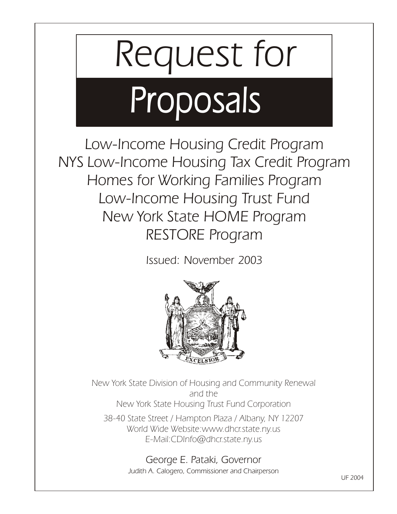# *Request for Proposals*

*Low-Income Housing Credit Program NYS Low-Income Housing Tax Credit Program Homes for Working Families Program Low-Income Housing Trust Fund New York State HOME Program RESTORE Program*

*Issued: November 2003*



*New York State Division of Housing and Community Renewal and the New York State Housing Trust Fund Corporation*

 *38-40 State Street / Hampton Plaza / Albany, NY <sup>12207</sup> World Wide Website:www.dhcr.state.ny.us E-Mail:CDInfo@dhcr.state.ny.us*

> *George E. Pataki, Governor Judith A. Calogero, Commissioner and Chairperson*

*UF 2004*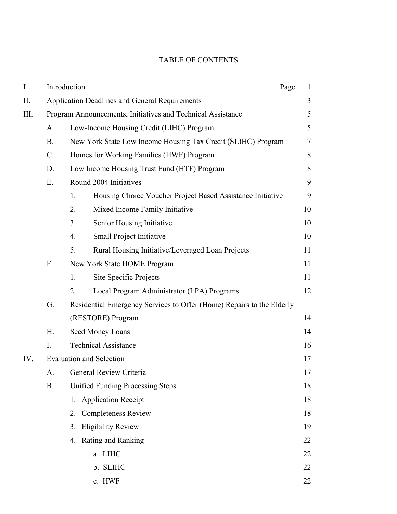#### TABLE OF CONTENTS

| I.   |                                                             | Introduction<br>Page                                                  | 1                        |
|------|-------------------------------------------------------------|-----------------------------------------------------------------------|--------------------------|
| Π.   |                                                             | <b>Application Deadlines and General Requirements</b>                 | 3                        |
| III. | Program Announcements, Initiatives and Technical Assistance |                                                                       | 5                        |
|      | A.                                                          | Low-Income Housing Credit (LIHC) Program                              | 5                        |
|      | <b>B.</b>                                                   | New York State Low Income Housing Tax Credit (SLIHC) Program          | $\overline{\mathcal{L}}$ |
|      | $\mathcal{C}$ .                                             | Homes for Working Families (HWF) Program                              | 8                        |
|      | D.                                                          | Low Income Housing Trust Fund (HTF) Program                           | 8                        |
|      | Ε.                                                          | Round 2004 Initiatives                                                | 9                        |
|      |                                                             | Housing Choice Voucher Project Based Assistance Initiative<br>1.      | 9                        |
|      |                                                             | 2.<br>Mixed Income Family Initiative                                  | 10                       |
|      |                                                             | Senior Housing Initiative<br>3.                                       | 10                       |
|      |                                                             | Small Project Initiative<br>4.                                        | 10                       |
|      |                                                             | Rural Housing Initiative/Leveraged Loan Projects<br>5.                | 11                       |
|      | F.                                                          | New York State HOME Program                                           | 11                       |
|      |                                                             | Site Specific Projects<br>1.                                          | 11                       |
|      |                                                             | Local Program Administrator (LPA) Programs<br>2.                      | 12                       |
|      | G.                                                          | Residential Emergency Services to Offer (Home) Repairs to the Elderly |                          |
|      |                                                             | (RESTORE) Program                                                     | 14                       |
|      | H.                                                          | Seed Money Loans                                                      | 14                       |
|      | I.                                                          | <b>Technical Assistance</b>                                           | 16                       |
| IV.  | <b>Evaluation and Selection</b>                             |                                                                       |                          |
|      |                                                             | A. General Review Criteria                                            |                          |
|      | <b>Unified Funding Processing Steps</b><br><b>B.</b>        |                                                                       | 18                       |
|      |                                                             | 1. Application Receipt                                                | 18                       |
|      |                                                             | <b>Completeness Review</b><br>2.                                      | 18                       |
|      |                                                             | <b>Eligibility Review</b><br>3.                                       | 19                       |
|      |                                                             | 4. Rating and Ranking                                                 | 22                       |
|      |                                                             | a. LIHC                                                               | 22                       |
|      |                                                             | b. SLIHC                                                              | 22                       |
|      |                                                             | c. HWF                                                                | 22                       |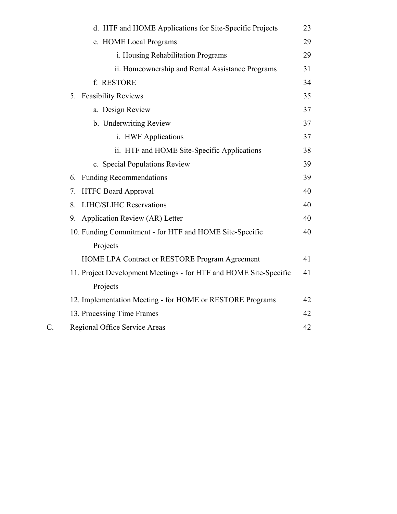|                 | d. HTF and HOME Applications for Site-Specific Projects           | 23 |
|-----------------|-------------------------------------------------------------------|----|
|                 | e. HOME Local Programs                                            | 29 |
|                 | i. Housing Rehabilitation Programs                                | 29 |
|                 | ii. Homeownership and Rental Assistance Programs                  | 31 |
|                 | f. RESTORE                                                        | 34 |
|                 | 5. Feasibility Reviews                                            | 35 |
|                 | a. Design Review                                                  | 37 |
|                 | b. Underwriting Review                                            | 37 |
|                 | i. HWF Applications                                               | 37 |
|                 | ii. HTF and HOME Site-Specific Applications                       | 38 |
|                 | c. Special Populations Review                                     | 39 |
|                 | <b>Funding Recommendations</b><br>6.                              | 39 |
|                 | <b>HTFC Board Approval</b><br>7.                                  | 40 |
|                 | <b>LIHC/SLIHC Reservations</b><br>8.                              | 40 |
|                 | 9. Application Review (AR) Letter                                 | 40 |
|                 | 10. Funding Commitment - for HTF and HOME Site-Specific           | 40 |
|                 | Projects                                                          |    |
|                 | HOME LPA Contract or RESTORE Program Agreement                    | 41 |
|                 | 11. Project Development Meetings - for HTF and HOME Site-Specific | 41 |
|                 | Projects                                                          |    |
|                 | 12. Implementation Meeting - for HOME or RESTORE Programs         | 42 |
|                 | 13. Processing Time Frames                                        | 42 |
| $\mathcal{C}$ . | Regional Office Service Areas                                     | 42 |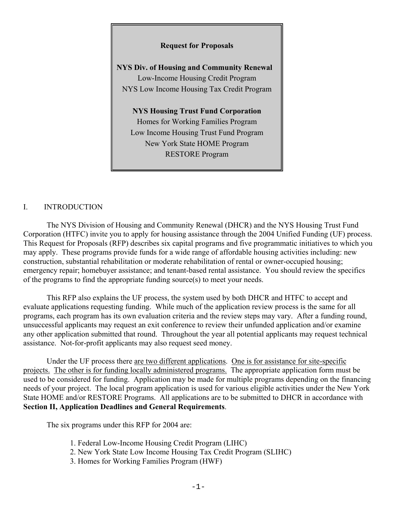#### **Request for Proposals**

**NYS Div. of Housing and Community Renewal** Low-Income Housing Credit Program NYS Low Income Housing Tax Credit Program

**NYS Housing Trust Fund Corporation** Homes for Working Families Program Low Income Housing Trust Fund Program New York State HOME Program RESTORE Program

#### I. INTRODUCTION

The NYS Division of Housing and Community Renewal (DHCR) and the NYS Housing Trust Fund Corporation (HTFC) invite you to apply for housing assistance through the 2004 Unified Funding (UF) process. This Request for Proposals (RFP) describes six capital programs and five programmatic initiatives to which you may apply. These programs provide funds for a wide range of affordable housing activities including: new construction, substantial rehabilitation or moderate rehabilitation of rental or owner-occupied housing; emergency repair; homebuyer assistance; and tenant-based rental assistance. You should review the specifics of the programs to find the appropriate funding source(s) to meet your needs.

This RFP also explains the UF process, the system used by both DHCR and HTFC to accept and evaluate applications requesting funding. While much of the application review process is the same for all programs, each program has its own evaluation criteria and the review steps may vary. After a funding round, unsuccessful applicants may request an exit conference to review their unfunded application and/or examine any other application submitted that round. Throughout the year all potential applicants may request technical assistance. Not-for-profit applicants may also request seed money.

Under the UF process there are two different applications. One is for assistance for site-specific projects. The other is for funding locally administered programs. The appropriate application form must be used to be considered for funding. Application may be made for multiple programs depending on the financing needs of your project. The local program application is used for various eligible activities under the New York State HOME and/or RESTORE Programs. All applications are to be submitted to DHCR in accordance with **Section II, Application Deadlines and General Requirements**.

The six programs under this RFP for 2004 are:

- 1. Federal Low-Income Housing Credit Program (LIHC)
- 2. New York State Low Income Housing Tax Credit Program (SLIHC)
- 3. Homes for Working Families Program (HWF)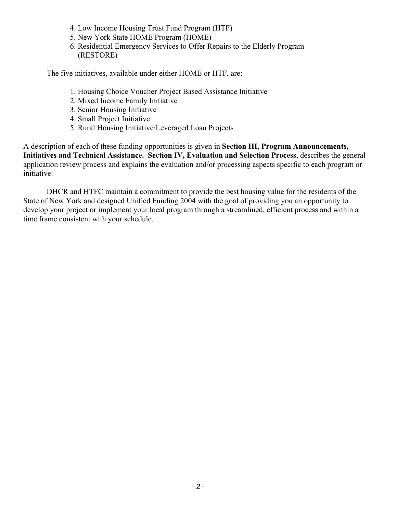- 4. Low Income Housing Trust Fund Program (HTF)
- 5. New York State HOME Program (HOME)
- 6. Residential Emergency Services to Offer Repairs to the Elderly Program (RESTORE)

The five initiatives, available under either HOME or HTF, are:

- 1. Housing Choice Voucher Project Based Assistance Initiative
- 2. Mixed Income Family Initiative
- 3. Senior Housing Initiative
- 4. Small Project Initiative
- 5. Rural Housing Initiative/Leveraged Loan Projects

A description of each of these funding opportunities is given in **Section III, Program Announcements, Initiatives and Technical Assistance. Section IV, Evaluation and Selection Process**, describes the general application review process and explains the evaluation and/or processing aspects specific to each program or initiative.

DHCR and HTFC maintain a commitment to provide the best housing value for the residents of the State of New York and designed Unified Funding 2004 with the goal of providing you an opportunity to develop your project or implement your local program through a streamlined, efficient process and within a time frame consistent with your schedule.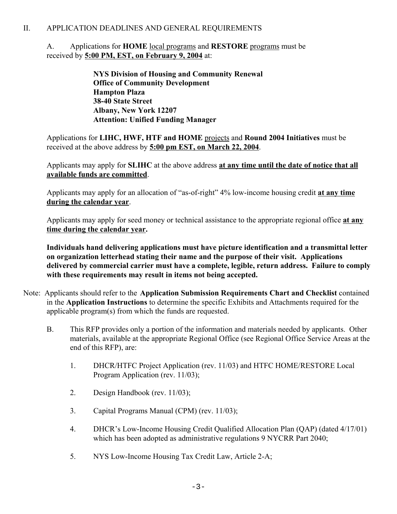#### II. APPLICATION DEADLINES AND GENERAL REQUIREMENTS

#### A. Applications for **HOME** local programs and **RESTORE** programs must be received by **5:00 PM, EST, on February 9, 2004** at:

**NYS Division of Housing and Community Renewal Office of Community Development Hampton Plaza 38-40 State Street Albany, New York 12207 Attention: Unified Funding Manager**

Applications for **LIHC, HWF, HTF and HOME** projects and **Round 2004 Initiatives** must be received at the above address by **5:00 pm EST, on March 22, 2004**.

Applicants may apply for **SLIHC** at the above address **at any time until the date of notice that all available funds are committed**.

Applicants may apply for an allocation of "as-of-right" 4% low-income housing credit **at any time during the calendar year**.

Applicants may apply for seed money or technical assistance to the appropriate regional office **at any time during the calendar year.** 

**Individuals hand delivering applications must have picture identification and a transmittal letter on organization letterhead stating their name and the purpose of their visit. Applications delivered by commercial carrier must have a complete, legible, return address. Failure to comply with these requirements may result in items not being accepted.**

- Note: Applicants should refer to the **Application Submission Requirements Chart and Checklist** contained in the **Application Instructions** to determine the specific Exhibits and Attachments required for the applicable program(s) from which the funds are requested.
	- B. This RFP provides only a portion of the information and materials needed by applicants. Other materials, available at the appropriate Regional Office (see Regional Office Service Areas at the end of this RFP), are:
		- 1. DHCR/HTFC Project Application (rev. 11/03) and HTFC HOME/RESTORE Local Program Application (rev. 11/03);
		- 2. Design Handbook (rev. 11/03);
		- 3. Capital Programs Manual (CPM) (rev. 11/03);
		- 4. DHCR's Low-Income Housing Credit Qualified Allocation Plan (QAP) (dated 4/17/01) which has been adopted as administrative regulations 9 NYCRR Part 2040;
		- 5. NYS Low-Income Housing Tax Credit Law, Article 2-A;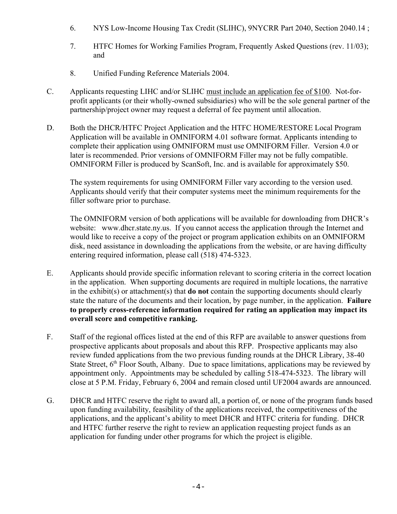- 6. NYS Low-Income Housing Tax Credit (SLIHC), 9NYCRR Part 2040, Section 2040.14 ;
- 7. HTFC Homes for Working Families Program, Frequently Asked Questions (rev. 11/03); and
- 8. Unified Funding Reference Materials 2004.
- C. Applicants requesting LIHC and/or SLIHC must include an application fee of \$100. Not-forprofit applicants (or their wholly-owned subsidiaries) who will be the sole general partner of the partnership/project owner may request a deferral of fee payment until allocation.
- D. Both the DHCR/HTFC Project Application and the HTFC HOME/RESTORE Local Program Application will be available in OMNIFORM 4.01 software format. Applicants intending to complete their application using OMNIFORM must use OMNIFORM Filler. Version 4.0 or later is recommended. Prior versions of OMNIFORM Filler may not be fully compatible. OMNIFORM Filler is produced by ScanSoft, Inc. and is available for approximately \$50.

The system requirements for using OMNIFORM Filler vary according to the version used. Applicants should verify that their computer systems meet the minimum requirements for the filler software prior to purchase.

The OMNIFORM version of both applications will be available for downloading from DHCR's website: www.dhcr.state.ny.us. If you cannot access the application through the Internet and would like to receive a copy of the project or program application exhibits on an OMNIFORM disk, need assistance in downloading the applications from the website, or are having difficulty entering required information, please call (518) 474-5323.

- E. Applicants should provide specific information relevant to scoring criteria in the correct location in the application. When supporting documents are required in multiple locations, the narrative in the exhibit(s) or attachment(s) that **do not** contain the supporting documents should clearly state the nature of the documents and their location, by page number, in the application. **Failure to properly cross-reference information required for rating an application may impact its overall score and competitive ranking.**
- F. Staff of the regional offices listed at the end of this RFP are available to answer questions from prospective applicants about proposals and about this RFP. Prospective applicants may also review funded applications from the two previous funding rounds at the DHCR Library, 38-40 State Street,  $6<sup>th</sup>$  Floor South, Albany. Due to space limitations, applications may be reviewed by appointment only. Appointments may be scheduled by calling 518-474-5323. The library will close at 5 P.M. Friday, February 6, 2004 and remain closed until UF2004 awards are announced.
- G. DHCR and HTFC reserve the right to award all, a portion of, or none of the program funds based upon funding availability, feasibility of the applications received, the competitiveness of the applications, and the applicant's ability to meet DHCR and HTFC criteria for funding. DHCR and HTFC further reserve the right to review an application requesting project funds as an application for funding under other programs for which the project is eligible.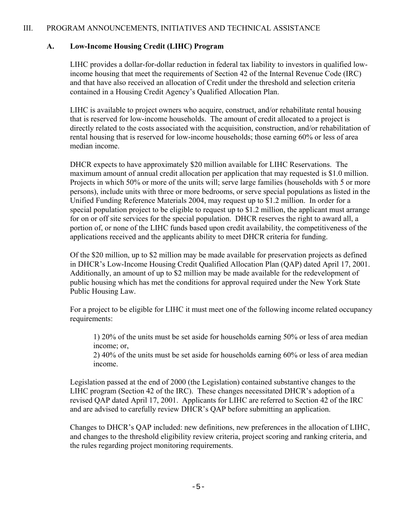#### III. PROGRAM ANNOUNCEMENTS, INITIATIVES AND TECHNICAL ASSISTANCE

#### **A. Low-Income Housing Credit (LIHC) Program**

LIHC provides a dollar-for-dollar reduction in federal tax liability to investors in qualified lowincome housing that meet the requirements of Section 42 of the Internal Revenue Code (IRC) and that have also received an allocation of Credit under the threshold and selection criteria contained in a Housing Credit Agency's Qualified Allocation Plan.

LIHC is available to project owners who acquire, construct, and/or rehabilitate rental housing that is reserved for low-income households. The amount of credit allocated to a project is directly related to the costs associated with the acquisition, construction, and/or rehabilitation of rental housing that is reserved for low-income households; those earning 60% or less of area median income.

DHCR expects to have approximately \$20 million available for LIHC Reservations. The maximum amount of annual credit allocation per application that may requested is \$1.0 million. Projects in which 50% or more of the units will; serve large families (households with 5 or more persons), include units with three or more bedrooms, or serve special populations as listed in the Unified Funding Reference Materials 2004, may request up to \$1.2 million. In order for a special population project to be eligible to request up to \$1.2 million, the applicant must arrange for on or off site services for the special population. DHCR reserves the right to award all, a portion of, or none of the LIHC funds based upon credit availability, the competitiveness of the applications received and the applicants ability to meet DHCR criteria for funding.

Of the \$20 million, up to \$2 million may be made available for preservation projects as defined in DHCR's Low-Income Housing Credit Qualified Allocation Plan (QAP) dated April 17, 2001. Additionally, an amount of up to \$2 million may be made available for the redevelopment of public housing which has met the conditions for approval required under the New York State Public Housing Law.

For a project to be eligible for LIHC it must meet one of the following income related occupancy requirements:

1) 20% of the units must be set aside for households earning 50% or less of area median income; or,

2) 40% of the units must be set aside for households earning 60% or less of area median income.

Legislation passed at the end of 2000 (the Legislation) contained substantive changes to the LIHC program (Section 42 of the IRC). These changes necessitated DHCR's adoption of a revised QAP dated April 17, 2001. Applicants for LIHC are referred to Section 42 of the IRC and are advised to carefully review DHCR's QAP before submitting an application.

Changes to DHCR's QAP included: new definitions, new preferences in the allocation of LIHC, and changes to the threshold eligibility review criteria, project scoring and ranking criteria, and the rules regarding project monitoring requirements.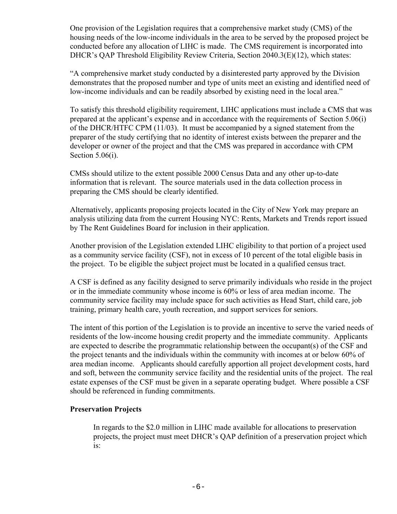One provision of the Legislation requires that a comprehensive market study (CMS) of the housing needs of the low-income individuals in the area to be served by the proposed project be conducted before any allocation of LIHC is made. The CMS requirement is incorporated into DHCR's QAP Threshold Eligibility Review Criteria, Section 2040.3(E)(12), which states:

"A comprehensive market study conducted by a disinterested party approved by the Division demonstrates that the proposed number and type of units meet an existing and identified need of low-income individuals and can be readily absorbed by existing need in the local area."

To satisfy this threshold eligibility requirement, LIHC applications must include a CMS that was prepared at the applicant's expense and in accordance with the requirements of Section 5.06(i) of the DHCR/HTFC CPM (11/03). It must be accompanied by a signed statement from the preparer of the study certifying that no identity of interest exists between the preparer and the developer or owner of the project and that the CMS was prepared in accordance with CPM Section 5.06(i).

CMSs should utilize to the extent possible 2000 Census Data and any other up-to-date information that is relevant. The source materials used in the data collection process in preparing the CMS should be clearly identified.

Alternatively, applicants proposing projects located in the City of New York may prepare an analysis utilizing data from the current Housing NYC: Rents, Markets and Trends report issued by The Rent Guidelines Board for inclusion in their application.

Another provision of the Legislation extended LIHC eligibility to that portion of a project used as a community service facility (CSF), not in excess of 10 percent of the total eligible basis in the project. To be eligible the subject project must be located in a qualified census tract.

A CSF is defined as any facility designed to serve primarily individuals who reside in the project or in the immediate community whose income is 60% or less of area median income. The community service facility may include space for such activities as Head Start, child care, job training, primary health care, youth recreation, and support services for seniors.

The intent of this portion of the Legislation is to provide an incentive to serve the varied needs of residents of the low-income housing credit property and the immediate community. Applicants are expected to describe the programmatic relationship between the occupant(s) of the CSF and the project tenants and the individuals within the community with incomes at or below 60% of area median income. Applicants should carefully apportion all project development costs, hard and soft, between the community service facility and the residential units of the project. The real estate expenses of the CSF must be given in a separate operating budget. Where possible a CSF should be referenced in funding commitments.

#### **Preservation Projects**

In regards to the \$2.0 million in LIHC made available for allocations to preservation projects, the project must meet DHCR's QAP definition of a preservation project which is: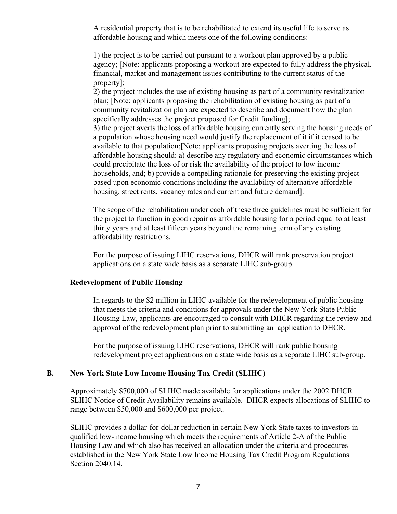A residential property that is to be rehabilitated to extend its useful life to serve as affordable housing and which meets one of the following conditions:

1) the project is to be carried out pursuant to a workout plan approved by a public agency; [Note: applicants proposing a workout are expected to fully address the physical, financial, market and management issues contributing to the current status of the property];

2) the project includes the use of existing housing as part of a community revitalization plan; [Note: applicants proposing the rehabilitation of existing housing as part of a community revitalization plan are expected to describe and document how the plan specifically addresses the project proposed for Credit funding];

3) the project averts the loss of affordable housing currently serving the housing needs of a population whose housing need would justify the replacement of it if it ceased to be available to that population;[Note: applicants proposing projects averting the loss of affordable housing should: a) describe any regulatory and economic circumstances which could precipitate the loss of or risk the availability of the project to low income households, and; b) provide a compelling rationale for preserving the existing project based upon economic conditions including the availability of alternative affordable housing, street rents, vacancy rates and current and future demand].

The scope of the rehabilitation under each of these three guidelines must be sufficient for the project to function in good repair as affordable housing for a period equal to at least thirty years and at least fifteen years beyond the remaining term of any existing affordability restrictions.

For the purpose of issuing LIHC reservations, DHCR will rank preservation project applications on a state wide basis as a separate LIHC sub-group.

#### **Redevelopment of Public Housing**

In regards to the \$2 million in LIHC available for the redevelopment of public housing that meets the criteria and conditions for approvals under the New York State Public Housing Law, applicants are encouraged to consult with DHCR regarding the review and approval of the redevelopment plan prior to submitting an application to DHCR.

For the purpose of issuing LIHC reservations, DHCR will rank public housing redevelopment project applications on a state wide basis as a separate LIHC sub-group.

#### **B. New York State Low Income Housing Tax Credit (SLIHC)**

Approximately \$700,000 of SLIHC made available for applications under the 2002 DHCR SLIHC Notice of Credit Availability remains available. DHCR expects allocations of SLIHC to range between \$50,000 and \$600,000 per project.

SLIHC provides a dollar-for-dollar reduction in certain New York State taxes to investors in qualified low-income housing which meets the requirements of Article 2-A of the Public Housing Law and which also has received an allocation under the criteria and procedures established in the New York State Low Income Housing Tax Credit Program Regulations Section 2040.14.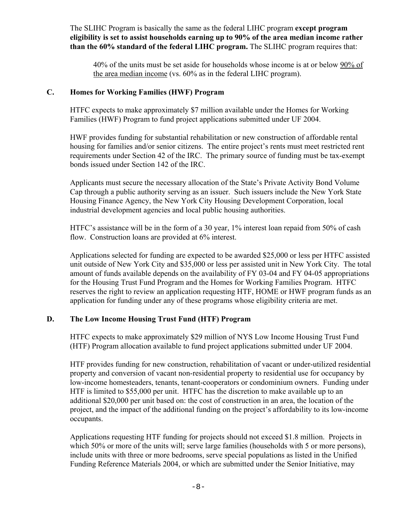The SLIHC Program is basically the same as the federal LIHC program **except program eligibility is set to assist households earning up to 90% of the area median income rather than the 60% standard of the federal LIHC program.** The SLIHC program requires that:

40% of the units must be set aside for households whose income is at or below 90% of the area median income (vs. 60% as in the federal LIHC program).

#### **C. Homes for Working Families (HWF) Program**

HTFC expects to make approximately \$7 million available under the Homes for Working Families (HWF) Program to fund project applications submitted under UF 2004.

HWF provides funding for substantial rehabilitation or new construction of affordable rental housing for families and/or senior citizens. The entire project's rents must meet restricted rent requirements under Section 42 of the IRC. The primary source of funding must be tax-exempt bonds issued under Section 142 of the IRC.

Applicants must secure the necessary allocation of the State's Private Activity Bond Volume Cap through a public authority serving as an issuer. Such issuers include the New York State Housing Finance Agency, the New York City Housing Development Corporation, local industrial development agencies and local public housing authorities.

HTFC's assistance will be in the form of a 30 year, 1% interest loan repaid from 50% of cash flow. Construction loans are provided at 6% interest.

Applications selected for funding are expected to be awarded \$25,000 or less per HTFC assisted unit outside of New York City and \$35,000 or less per assisted unit in New York City. The total amount of funds available depends on the availability of FY 03-04 and FY 04-05 appropriations for the Housing Trust Fund Program and the Homes for Working Families Program. HTFC reserves the right to review an application requesting HTF, HOME or HWF program funds as an application for funding under any of these programs whose eligibility criteria are met.

#### **D. The Low Income Housing Trust Fund (HTF) Program**

HTFC expects to make approximately \$29 million of NYS Low Income Housing Trust Fund (HTF) Program allocation available to fund project applications submitted under UF 2004.

HTF provides funding for new construction, rehabilitation of vacant or under-utilized residential property and conversion of vacant non-residential property to residential use for occupancy by low-income homesteaders, tenants, tenant-cooperators or condominium owners. Funding under HTF is limited to \$55,000 per unit. HTFC has the discretion to make available up to an additional \$20,000 per unit based on: the cost of construction in an area, the location of the project, and the impact of the additional funding on the project's affordability to its low-income occupants.

Applications requesting HTF funding for projects should not exceed \$1.8 million. Projects in which 50% or more of the units will; serve large families (households with 5 or more persons), include units with three or more bedrooms, serve special populations as listed in the Unified Funding Reference Materials 2004, or which are submitted under the Senior Initiative, may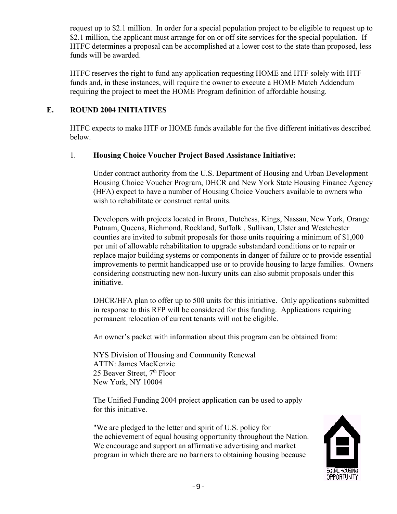request up to \$2.1 million. In order for a special population project to be eligible to request up to \$2.1 million, the applicant must arrange for on or off site services for the special population. If HTFC determines a proposal can be accomplished at a lower cost to the state than proposed, less funds will be awarded.

HTFC reserves the right to fund any application requesting HOME and HTF solely with HTF funds and, in these instances, will require the owner to execute a HOME Match Addendum requiring the project to meet the HOME Program definition of affordable housing.

#### **E. ROUND 2004 INITIATIVES**

HTFC expects to make HTF or HOME funds available for the five different initiatives described below.

#### 1. **Housing Choice Voucher Project Based Assistance Initiative:**

Under contract authority from the U.S. Department of Housing and Urban Development Housing Choice Voucher Program, DHCR and New York State Housing Finance Agency (HFA) expect to have a number of Housing Choice Vouchers available to owners who wish to rehabilitate or construct rental units.

Developers with projects located in Bronx, Dutchess, Kings, Nassau, New York, Orange Putnam, Queens, Richmond, Rockland, Suffolk , Sullivan, Ulster and Westchester counties are invited to submit proposals for those units requiring a minimum of \$1,000 per unit of allowable rehabilitation to upgrade substandard conditions or to repair or replace major building systems or components in danger of failure or to provide essential improvements to permit handicapped use or to provide housing to large families. Owners considering constructing new non-luxury units can also submit proposals under this initiative.

DHCR/HFA plan to offer up to 500 units for this initiative. Only applications submitted in response to this RFP will be considered for this funding. Applications requiring permanent relocation of current tenants will not be eligible.

An owner's packet with information about this program can be obtained from:

NYS Division of Housing and Community Renewal ATTN: James MacKenzie 25 Beaver Street,  $7<sup>th</sup>$  Floor New York, NY 10004

The Unified Funding 2004 project application can be used to apply for this initiative.

"We are pledged to the letter and spirit of U.S. policy for the achievement of equal housing opportunity throughout the Nation. We encourage and support an affirmative advertising and market program in which there are no barriers to obtaining housing because

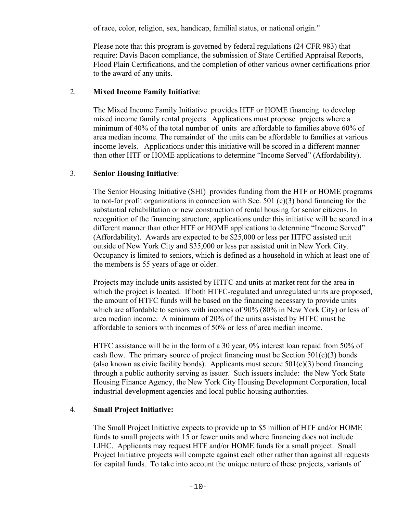of race, color, religion, sex, handicap, familial status, or national origin."

Please note that this program is governed by federal regulations (24 CFR 983) that require: Davis Bacon compliance, the submission of State Certified Appraisal Reports, Flood Plain Certifications, and the completion of other various owner certifications prior to the award of any units.

#### 2. **Mixed Income Family Initiative**:

The Mixed Income Family Initiative provides HTF or HOME financing to develop mixed income family rental projects. Applications must propose projects where a minimum of 40% of the total number of units are affordable to families above 60% of area median income. The remainder of the units can be affordable to families at various income levels. Applications under this initiative will be scored in a different manner than other HTF or HOME applications to determine "Income Served" (Affordability).

#### 3. **Senior Housing Initiative**:

The Senior Housing Initiative (SHI) provides funding from the HTF or HOME programs to not-for profit organizations in connection with Sec. 501 (c)(3) bond financing for the substantial rehabilitation or new construction of rental housing for senior citizens. In recognition of the financing structure, applications under this initiative will be scored in a different manner than other HTF or HOME applications to determine "Income Served" (Affordability). Awards are expected to be \$25,000 or less per HTFC assisted unit outside of New York City and \$35,000 or less per assisted unit in New York City. Occupancy is limited to seniors, which is defined as a household in which at least one of the members is 55 years of age or older.

Projects may include units assisted by HTFC and units at market rent for the area in which the project is located. If both HTFC-regulated and unregulated units are proposed, the amount of HTFC funds will be based on the financing necessary to provide units which are affordable to seniors with incomes of 90% (80% in New York City) or less of area median income. A minimum of 20% of the units assisted by HTFC must be affordable to seniors with incomes of 50% or less of area median income.

HTFC assistance will be in the form of a 30 year, 0% interest loan repaid from 50% of cash flow. The primary source of project financing must be Section  $501(c)(3)$  bonds (also known as civic facility bonds). Applicants must secure  $501(c)(3)$  bond financing through a public authority serving as issuer. Such issuers include: the New York State Housing Finance Agency, the New York City Housing Development Corporation, local industrial development agencies and local public housing authorities.

#### 4. **Small Project Initiative:**

The Small Project Initiative expects to provide up to \$5 million of HTF and/or HOME funds to small projects with 15 or fewer units and where financing does not include LIHC. Applicants may request HTF and/or HOME funds for a small project. Small Project Initiative projects will compete against each other rather than against all requests for capital funds. To take into account the unique nature of these projects, variants of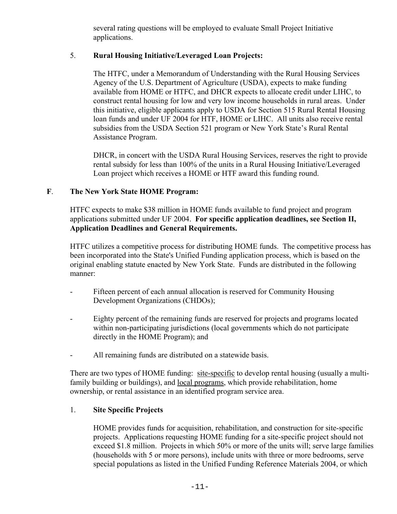several rating questions will be employed to evaluate Small Project Initiative applications.

#### 5. **Rural Housing Initiative/Leveraged Loan Projects:**

The HTFC, under a Memorandum of Understanding with the Rural Housing Services Agency of the U.S. Department of Agriculture (USDA), expects to make funding available from HOME or HTFC, and DHCR expects to allocate credit under LIHC, to construct rental housing for low and very low income households in rural areas. Under this initiative, eligible applicants apply to USDA for Section 515 Rural Rental Housing loan funds and under UF 2004 for HTF, HOME or LIHC. All units also receive rental subsidies from the USDA Section 521 program or New York State's Rural Rental Assistance Program.

DHCR, in concert with the USDA Rural Housing Services, reserves the right to provide rental subsidy for less than 100% of the units in a Rural Housing Initiative/Leveraged Loan project which receives a HOME or HTF award this funding round.

#### **F**. **The New York State HOME Program:**

HTFC expects to make \$38 million in HOME funds available to fund project and program applications submitted under UF 2004. **For specific application deadlines, see Section II, Application Deadlines and General Requirements.** 

HTFC utilizes a competitive process for distributing HOME funds. The competitive process has been incorporated into the State's Unified Funding application process, which is based on the original enabling statute enacted by New York State. Funds are distributed in the following manner:

- Fifteen percent of each annual allocation is reserved for Community Housing Development Organizations (CHDOs);
- Eighty percent of the remaining funds are reserved for projects and programs located within non-participating jurisdictions (local governments which do not participate directly in the HOME Program); and
- All remaining funds are distributed on a statewide basis.

There are two types of HOME funding: site-specific to develop rental housing (usually a multifamily building or buildings), and local programs, which provide rehabilitation, home ownership, or rental assistance in an identified program service area.

#### 1. **Site Specific Projects**

HOME provides funds for acquisition, rehabilitation, and construction for site-specific projects. Applications requesting HOME funding for a site-specific project should not exceed \$1.8 million. Projects in which 50% or more of the units will; serve large families (households with 5 or more persons), include units with three or more bedrooms, serve special populations as listed in the Unified Funding Reference Materials 2004, or which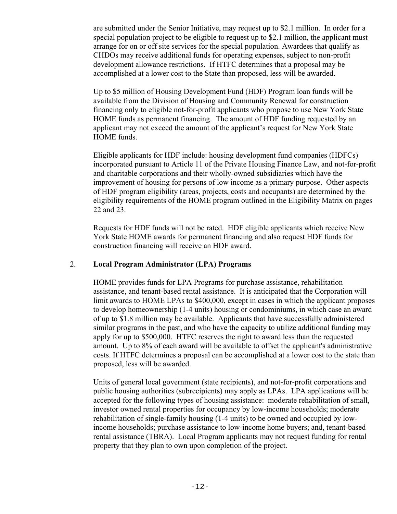are submitted under the Senior Initiative, may request up to \$2.1 million. In order for a special population project to be eligible to request up to \$2.1 million, the applicant must arrange for on or off site services for the special population. Awardees that qualify as CHDOs may receive additional funds for operating expenses, subject to non-profit development allowance restrictions. If HTFC determines that a proposal may be accomplished at a lower cost to the State than proposed, less will be awarded.

Up to \$5 million of Housing Development Fund (HDF) Program loan funds will be available from the Division of Housing and Community Renewal for construction financing only to eligible not-for-profit applicants who propose to use New York State HOME funds as permanent financing. The amount of HDF funding requested by an applicant may not exceed the amount of the applicant's request for New York State HOME funds.

Eligible applicants for HDF include: housing development fund companies (HDFCs) incorporated pursuant to Article 11 of the Private Housing Finance Law, and not-for-profit and charitable corporations and their wholly-owned subsidiaries which have the improvement of housing for persons of low income as a primary purpose. Other aspects of HDF program eligibility (areas, projects, costs and occupants) are determined by the eligibility requirements of the HOME program outlined in the Eligibility Matrix on pages 22 and 23.

Requests for HDF funds will not be rated. HDF eligible applicants which receive New York State HOME awards for permanent financing and also request HDF funds for construction financing will receive an HDF award.

#### 2. **Local Program Administrator (LPA) Programs**

HOME provides funds for LPA Programs for purchase assistance, rehabilitation assistance, and tenant-based rental assistance. It is anticipated that the Corporation will limit awards to HOME LPAs to \$400,000, except in cases in which the applicant proposes to develop homeownership (1-4 units) housing or condominiums, in which case an award of up to \$1.8 million may be available. Applicants that have successfully administered similar programs in the past, and who have the capacity to utilize additional funding may apply for up to \$500,000. HTFC reserves the right to award less than the requested amount. Up to 8% of each award will be available to offset the applicant's administrative costs. If HTFC determines a proposal can be accomplished at a lower cost to the state than proposed, less will be awarded.

Units of general local government (state recipients), and not-for-profit corporations and public housing authorities (subrecipients) may apply as LPAs. LPA applications will be accepted for the following types of housing assistance: moderate rehabilitation of small, investor owned rental properties for occupancy by low-income households; moderate rehabilitation of single-family housing (1-4 units) to be owned and occupied by lowincome households; purchase assistance to low-income home buyers; and, tenant-based rental assistance (TBRA). Local Program applicants may not request funding for rental property that they plan to own upon completion of the project.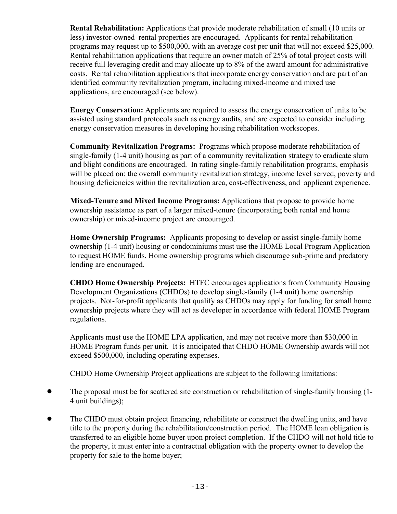**Rental Rehabilitation:** Applications that provide moderate rehabilitation of small (10 units or less) investor-owned rental properties are encouraged. Applicants for rental rehabilitation programs may request up to \$500,000, with an average cost per unit that will not exceed \$25,000. Rental rehabilitation applications that require an owner match of 25% of total project costs will receive full leveraging credit and may allocate up to 8% of the award amount for administrative costs. Rental rehabilitation applications that incorporate energy conservation and are part of an identified community revitalization program, including mixed-income and mixed use applications, are encouraged (see below).

**Energy Conservation:** Applicants are required to assess the energy conservation of units to be assisted using standard protocols such as energy audits, and are expected to consider including energy conservation measures in developing housing rehabilitation workscopes.

**Community Revitalization Programs:** Programs which propose moderate rehabilitation of single-family (1-4 unit) housing as part of a community revitalization strategy to eradicate slum and blight conditions are encouraged. In rating single-family rehabilitation programs, emphasis will be placed on: the overall community revitalization strategy, income level served, poverty and housing deficiencies within the revitalization area, cost-effectiveness, and applicant experience.

**Mixed-Tenure and Mixed Income Programs:** Applications that propose to provide home ownership assistance as part of a larger mixed-tenure (incorporating both rental and home ownership) or mixed-income project are encouraged.

**Home Ownership Programs:** Applicants proposing to develop or assist single-family home ownership (1-4 unit) housing or condominiums must use the HOME Local Program Application to request HOME funds. Home ownership programs which discourage sub-prime and predatory lending are encouraged.

**CHDO Home Ownership Projects:** HTFC encourages applications from Community Housing Development Organizations (CHDOs) to develop single-family (1-4 unit) home ownership projects. Not-for-profit applicants that qualify as CHDOs may apply for funding for small home ownership projects where they will act as developer in accordance with federal HOME Program regulations.

Applicants must use the HOME LPA application, and may not receive more than \$30,000 in HOME Program funds per unit. It is anticipated that CHDO HOME Ownership awards will not exceed \$500,000, including operating expenses.

CHDO Home Ownership Project applications are subject to the following limitations:

- The proposal must be for scattered site construction or rehabilitation of single-family housing (1-4 unit buildings);
- The CHDO must obtain project financing, rehabilitate or construct the dwelling units, and have title to the property during the rehabilitation/construction period. The HOME loan obligation is transferred to an eligible home buyer upon project completion. If the CHDO will not hold title to the property, it must enter into a contractual obligation with the property owner to develop the property for sale to the home buyer;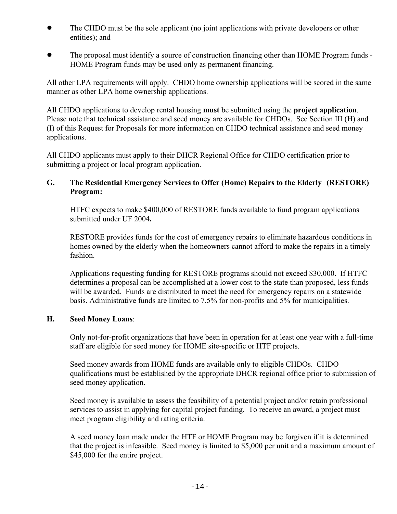- The CHDO must be the sole applicant (no joint applications with private developers or other entities); and
- The proposal must identify a source of construction financing other than HOME Program funds -HOME Program funds may be used only as permanent financing.

All other LPA requirements will apply. CHDO home ownership applications will be scored in the same manner as other LPA home ownership applications.

All CHDO applications to develop rental housing **must** be submitted using the **project application**. Please note that technical assistance and seed money are available for CHDOs. See Section III (H) and (I) of this Request for Proposals for more information on CHDO technical assistance and seed money applications.

All CHDO applicants must apply to their DHCR Regional Office for CHDO certification prior to submitting a project or local program application.

#### **G. The Residential Emergency Services to Offer (Home) Repairs to the Elderly (RESTORE) Program:**

HTFC expects to make \$400,000 of RESTORE funds available to fund program applications submitted under UF 2004**.**

RESTORE provides funds for the cost of emergency repairs to eliminate hazardous conditions in homes owned by the elderly when the homeowners cannot afford to make the repairs in a timely fashion.

Applications requesting funding for RESTORE programs should not exceed \$30,000. If HTFC determines a proposal can be accomplished at a lower cost to the state than proposed, less funds will be awarded. Funds are distributed to meet the need for emergency repairs on a statewide basis. Administrative funds are limited to 7.5% for non-profits and 5% for municipalities.

#### **H. Seed Money Loans**:

Only not-for-profit organizations that have been in operation for at least one year with a full-time staff are eligible for seed money for HOME site-specific or HTF projects.

Seed money awards from HOME funds are available only to eligible CHDOs. CHDO qualifications must be established by the appropriate DHCR regional office prior to submission of seed money application.

Seed money is available to assess the feasibility of a potential project and/or retain professional services to assist in applying for capital project funding. To receive an award, a project must meet program eligibility and rating criteria.

A seed money loan made under the HTF or HOME Program may be forgiven if it is determined that the project is infeasible. Seed money is limited to \$5,000 per unit and a maximum amount of \$45,000 for the entire project.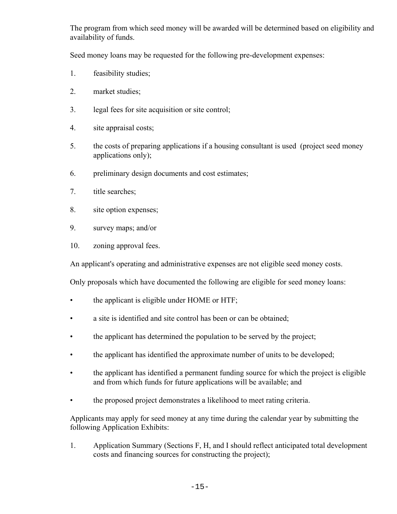The program from which seed money will be awarded will be determined based on eligibility and availability of funds.

Seed money loans may be requested for the following pre-development expenses:

- 1. feasibility studies;
- 2. market studies;
- 3. legal fees for site acquisition or site control;
- 4. site appraisal costs;
- 5. the costs of preparing applications if a housing consultant is used (project seed money applications only);
- 6. preliminary design documents and cost estimates;
- 7. title searches;
- 8. site option expenses;
- 9. survey maps; and/or
- 10. zoning approval fees.

An applicant's operating and administrative expenses are not eligible seed money costs.

Only proposals which have documented the following are eligible for seed money loans:

- the applicant is eligible under HOME or HTF;
- a site is identified and site control has been or can be obtained;
- the applicant has determined the population to be served by the project;
- the applicant has identified the approximate number of units to be developed;
- the applicant has identified a permanent funding source for which the project is eligible and from which funds for future applications will be available; and
- the proposed project demonstrates a likelihood to meet rating criteria.

Applicants may apply for seed money at any time during the calendar year by submitting the following Application Exhibits:

1. Application Summary (Sections F, H, and I should reflect anticipated total development costs and financing sources for constructing the project);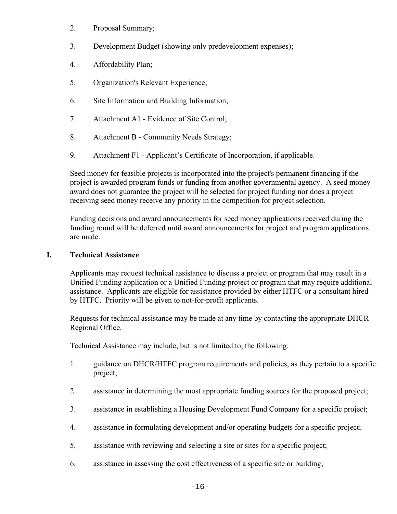- 2. Proposal Summary;
- 3. Development Budget (showing only predevelopment expenses);
- 4. Affordability Plan;
- 5. Organization's Relevant Experience;
- 6. Site Information and Building Information;
- 7. Attachment A1 Evidence of Site Control;
- 8. Attachment B Community Needs Strategy;
- 9. Attachment F1 Applicant's Certificate of Incorporation, if applicable.

Seed money for feasible projects is incorporated into the project's permanent financing if the project is awarded program funds or funding from another governmental agency. A seed money award does not guarantee the project will be selected for project funding nor does a project receiving seed money receive any priority in the competition for project selection.

Funding decisions and award announcements for seed money applications received during the funding round will be deferred until award announcements for project and program applications are made.

#### **I. Technical Assistance**

Applicants may request technical assistance to discuss a project or program that may result in a Unified Funding application or a Unified Funding project or program that may require additional assistance. Applicants are eligible for assistance provided by either HTFC or a consultant hired by HTFC. Priority will be given to not-for-profit applicants.

Requests for technical assistance may be made at any time by contacting the appropriate DHCR Regional Office.

Technical Assistance may include, but is not limited to, the following:

- 1. guidance on DHCR/HTFC program requirements and policies, as they pertain to a specific project;
- 2. assistance in determining the most appropriate funding sources for the proposed project;
- 3. assistance in establishing a Housing Development Fund Company for a specific project;
- 4. assistance in formulating development and/or operating budgets for a specific project;
- 5. assistance with reviewing and selecting a site or sites for a specific project;
- 6. assistance in assessing the cost effectiveness of a specific site or building;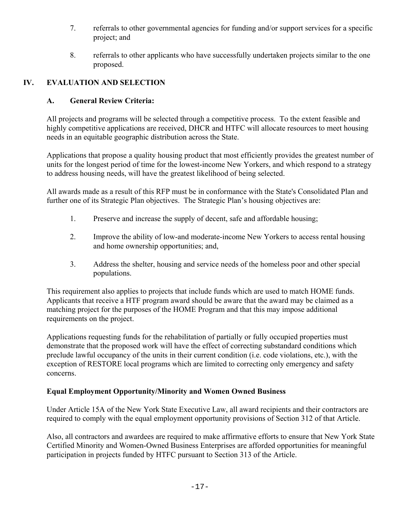- 7. referrals to other governmental agencies for funding and/or support services for a specific project; and
- 8. referrals to other applicants who have successfully undertaken projects similar to the one proposed.

# **IV. EVALUATION AND SELECTION**

#### **A. General Review Criteria:**

All projects and programs will be selected through a competitive process. To the extent feasible and highly competitive applications are received, DHCR and HTFC will allocate resources to meet housing needs in an equitable geographic distribution across the State.

Applications that propose a quality housing product that most efficiently provides the greatest number of units for the longest period of time for the lowest-income New Yorkers, and which respond to a strategy to address housing needs, will have the greatest likelihood of being selected.

All awards made as a result of this RFP must be in conformance with the State's Consolidated Plan and further one of its Strategic Plan objectives. The Strategic Plan's housing objectives are:

- 1. Preserve and increase the supply of decent, safe and affordable housing;
- 2. Improve the ability of low-and moderate-income New Yorkers to access rental housing and home ownership opportunities; and,
- 3. Address the shelter, housing and service needs of the homeless poor and other special populations.

This requirement also applies to projects that include funds which are used to match HOME funds. Applicants that receive a HTF program award should be aware that the award may be claimed as a matching project for the purposes of the HOME Program and that this may impose additional requirements on the project.

Applications requesting funds for the rehabilitation of partially or fully occupied properties must demonstrate that the proposed work will have the effect of correcting substandard conditions which preclude lawful occupancy of the units in their current condition (i.e. code violations, etc.), with the exception of RESTORE local programs which are limited to correcting only emergency and safety concerns.

#### **Equal Employment Opportunity/Minority and Women Owned Business**

Under Article 15A of the New York State Executive Law, all award recipients and their contractors are required to comply with the equal employment opportunity provisions of Section 312 of that Article.

Also, all contractors and awardees are required to make affirmative efforts to ensure that New York State Certified Minority and Women-Owned Business Enterprises are afforded opportunities for meaningful participation in projects funded by HTFC pursuant to Section 313 of the Article.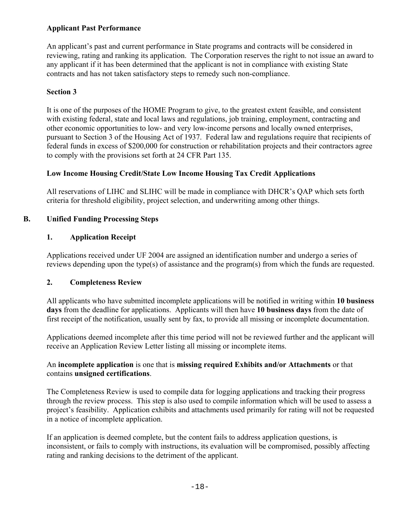#### **Applicant Past Performance**

An applicant's past and current performance in State programs and contracts will be considered in reviewing, rating and ranking its application. The Corporation reserves the right to not issue an award to any applicant if it has been determined that the applicant is not in compliance with existing State contracts and has not taken satisfactory steps to remedy such non-compliance.

#### **Section 3**

It is one of the purposes of the HOME Program to give, to the greatest extent feasible, and consistent with existing federal, state and local laws and regulations, job training, employment, contracting and other economic opportunities to low- and very low-income persons and locally owned enterprises, pursuant to Section 3 of the Housing Act of 1937. Federal law and regulations require that recipients of federal funds in excess of \$200,000 for construction or rehabilitation projects and their contractors agree to comply with the provisions set forth at 24 CFR Part 135.

#### **Low Income Housing Credit/State Low Income Housing Tax Credit Applications**

All reservations of LIHC and SLIHC will be made in compliance with DHCR's QAP which sets forth criteria for threshold eligibility, project selection, and underwriting among other things.

#### **B. Unified Funding Processing Steps**

#### **1. Application Receipt**

Applications received under UF 2004 are assigned an identification number and undergo a series of reviews depending upon the type(s) of assistance and the program(s) from which the funds are requested.

#### **2. Completeness Review**

All applicants who have submitted incomplete applications will be notified in writing within **10 business days** from the deadline for applications. Applicants will then have **10 business days** from the date of first receipt of the notification, usually sent by fax, to provide all missing or incomplete documentation.

Applications deemed incomplete after this time period will not be reviewed further and the applicant will receive an Application Review Letter listing all missing or incomplete items.

#### An **incomplete application** is one that is **missing required Exhibits and/or Attachments** or that contains **unsigned certifications**.

The Completeness Review is used to compile data for logging applications and tracking their progress through the review process. This step is also used to compile information which will be used to assess a project's feasibility. Application exhibits and attachments used primarily for rating will not be requested in a notice of incomplete application.

If an application is deemed complete, but the content fails to address application questions, is inconsistent, or fails to comply with instructions, its evaluation will be compromised, possibly affecting rating and ranking decisions to the detriment of the applicant.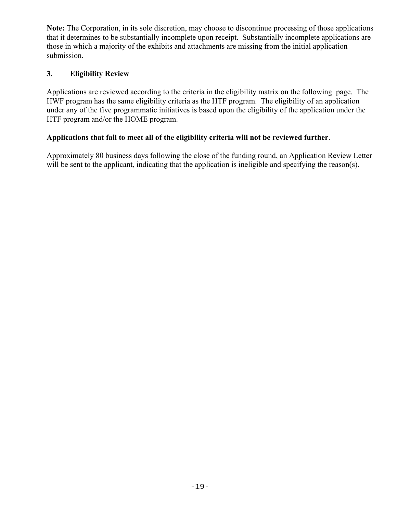**Note:** The Corporation, in its sole discretion, may choose to discontinue processing of those applications that it determines to be substantially incomplete upon receipt. Substantially incomplete applications are those in which a majority of the exhibits and attachments are missing from the initial application submission.

#### **3. Eligibility Review**

Applications are reviewed according to the criteria in the eligibility matrix on the following page. The HWF program has the same eligibility criteria as the HTF program. The eligibility of an application under any of the five programmatic initiatives is based upon the eligibility of the application under the HTF program and/or the HOME program.

## **Applications that fail to meet all of the eligibility criteria will not be reviewed further**.

Approximately 80 business days following the close of the funding round, an Application Review Letter will be sent to the applicant, indicating that the application is ineligible and specifying the reason(s).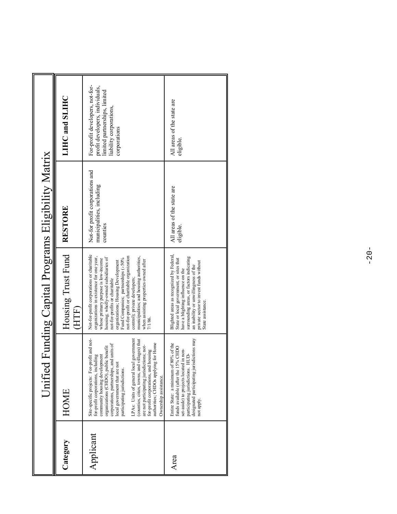|           |                                                                                                                                                                                                                                                                                                                                                                                                                                                                                                                          |                                                                                                                                                                                                                                                                                                                                                                                                                                                       | Unified Funding Capital Programs Eligibility Matrix                      |                                                                                                                                                |
|-----------|--------------------------------------------------------------------------------------------------------------------------------------------------------------------------------------------------------------------------------------------------------------------------------------------------------------------------------------------------------------------------------------------------------------------------------------------------------------------------------------------------------------------------|-------------------------------------------------------------------------------------------------------------------------------------------------------------------------------------------------------------------------------------------------------------------------------------------------------------------------------------------------------------------------------------------------------------------------------------------------------|--------------------------------------------------------------------------|------------------------------------------------------------------------------------------------------------------------------------------------|
| Category  | HOME                                                                                                                                                                                                                                                                                                                                                                                                                                                                                                                     | Housing Trust Fund<br>HTF)                                                                                                                                                                                                                                                                                                                                                                                                                            | <b>RESTORE</b>                                                           | LIHC and SLIHC                                                                                                                                 |
| Applicant | Site-specific projects: For-profit and not-<br>LPAs: Units of general local government<br>(counties, cities, towns, and villages) that<br>authorities; CHDOs applying for Home<br>corporations, partnerships, and units of<br>are not participating jurisdictions; not-<br>organizations (CHDO), public benefit<br>for-profit corporations, and housing<br>community housing development<br>for-profit corporations, including<br>local government that are not<br>participating jurisdictions.<br>Ownership assistance. | Not-for-profit corporations or charitable<br>organizations in existence for one year,<br>municipalities; and housing authorities,<br>not-for-profit or charitable organization<br>housing; wholly-owned subsidiaries of<br>Fund Companies; partnerships (≥50%<br>whose primary purpose is low-income<br>when assisting properties owned after<br>organizations; Housing Development<br>control); private developers;<br>not-for-profits or charitable | Not-for profit corporations and<br>municipalities, including<br>counties | For-profit developers, not-for-<br>profit developers, individuals,<br>limited partnerships, limited<br>liability corporations,<br>corporations |
| Area      | sdictions may<br>80% of the<br>funds available (after the 15% CHDO<br>set-aside) to projects located in non-<br>È<br>Entire State: a minimum of<br>designated participating jui<br>participating jurisdictions.<br>not apply.                                                                                                                                                                                                                                                                                            | Blighted areas as recognized by Federal,<br>surrounding areas, or factors indicating<br>State or local government, or sites that<br>private sector to invest funds without<br>an inability or unwillingness of the<br>have a blighting influence on the<br>State assistance                                                                                                                                                                           | All areas of the state are<br>eligible                                   | All areas of the state are<br>eligible.                                                                                                        |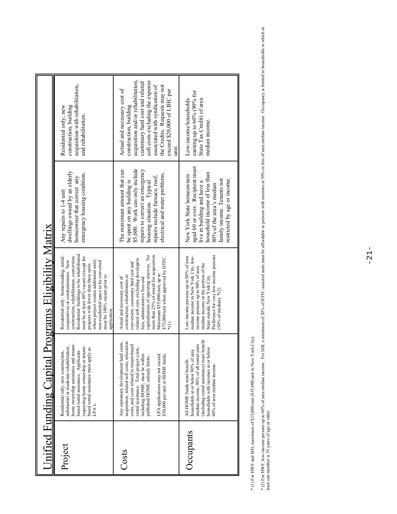| application.<br>acquisition, related soft costs, relocation<br>Any customary development hard costs,<br>tenant-<br>costs, and costs related to tenant-based<br>substantial or moderate rehabilitation;<br>requesting home ownership or tenant-<br>rental assistance. Total project costs,<br>based rental assistance must apply as<br>based rental assistance. Applicants<br>households at or below 80% of area<br>Residential only; new construction,<br>including HOME, must be within<br>LPA applications may not exceed<br>\$30,000 per unit in HOME funds.<br>published HOME subsidy limits.<br>home ownership assistance and<br>All HOME funds must benefit<br>LPA's.<br>Occupants<br>Project<br>Costs | Unified Funding Capital                | <b>Programs Eligibility Matrix</b>                                                                                                                                                                                                                                                                                                                                            |                                                                                                                                                                                                                                   |                                                                                                                                                                                                                                                                            |
|--------------------------------------------------------------------------------------------------------------------------------------------------------------------------------------------------------------------------------------------------------------------------------------------------------------------------------------------------------------------------------------------------------------------------------------------------------------------------------------------------------------------------------------------------------------------------------------------------------------------------------------------------------------------------------------------------------------|----------------------------------------|-------------------------------------------------------------------------------------------------------------------------------------------------------------------------------------------------------------------------------------------------------------------------------------------------------------------------------------------------------------------------------|-----------------------------------------------------------------------------------------------------------------------------------------------------------------------------------------------------------------------------------|----------------------------------------------------------------------------------------------------------------------------------------------------------------------------------------------------------------------------------------------------------------------------|
|                                                                                                                                                                                                                                                                                                                                                                                                                                                                                                                                                                                                                                                                                                              |                                        | Residential buildings to be rehabilitated<br>Residential only: homesteading, rental,<br>construction, rehabilitation, conversion.<br>must be at least 40% vacant (except for<br>cooperatives or condominiums. New<br>where project creates additional unit);<br>non-residential space to be converted<br>projects with fewer than three units<br>must be 100% vacant prior to | dwellings owned by an elderly<br>emergency housing condition.<br>homeowner that correct any<br>Any repairs to 1-4 unit                                                                                                            | acquisition with rehabilitation,<br>construction, building<br>Residential only; new<br>and rehabilitation.                                                                                                                                                                 |
|                                                                                                                                                                                                                                                                                                                                                                                                                                                                                                                                                                                                                                                                                                              |                                        | capitalization of operating reserves. No<br>more than 25% of award for acquisition<br>\$75,000/unit when approved by HTFC.<br>related soft cost, excluding developers<br>conversion, customary hard cost and<br>Maximum \$55,000/unit; up to<br>construction, rehabilitation or<br>Actual and necessary cost of<br>fees, administrative fees and                              | \$5,000. Work can only include<br>repairs to correct an emergency<br>The maximum amount that can<br>electrical and water problems.<br>repairs include furnace, roof,<br>be spent on any building is<br>housing situation. Typical | acquisition and/or rehabilitation,<br>soft costs excluding the expense<br>customary hard cost and related<br>associated with syndication of<br>the Credits. Requests may not<br>Actual and necessary cost of<br>exceed \$20,000 of LIHC per<br>construction, building<br>Η |
| (including rental assistance) must benefit<br>below<br>households with incomes at or<br>60% of area median income.                                                                                                                                                                                                                                                                                                                                                                                                                                                                                                                                                                                           | median income; 90% of all rental units | Preference for very low-income persons<br>Low-income persons up to 80% of area<br>median income in New York City, low-<br>median income in the portion of the<br>income persons up to 90% of area<br>State outside New York City.<br>(50% of median). *(2)                                                                                                                    | aged 60 or over. Recipient must<br>household income of less than<br>New York State homeowners<br>restricted by age or income.<br>family income. Tenants not<br>live in building and have a<br>80% of the area's median            | earning up to 60% (90% for<br>Low-income households<br>State Tax Credit) of area<br>median income.                                                                                                                                                                         |

\* (1) For HWF and SHI, maximum of \$25,000/unit (\$35,000/unit in New York City). \* (1) For HWF and SHI, maximum of \$25,000/unit (\$35,000/unit in New York City).

\* (2) For HWF, low-income persons up to 60% of area median income. For SHI, a minimum of 20% of HTFC-assisted units must be affordable to persons with incomes at 50% or less of area median income. Occupancy is limited to h \* (2) For HWF, low-income persons up to 60% of area median income. For SHI, a minimum of 20% of HTFC-assisted units must be affordable to persons with incomes at 50% or less of area median income. Occupancy is limited to h least one member is 55 years of age or older.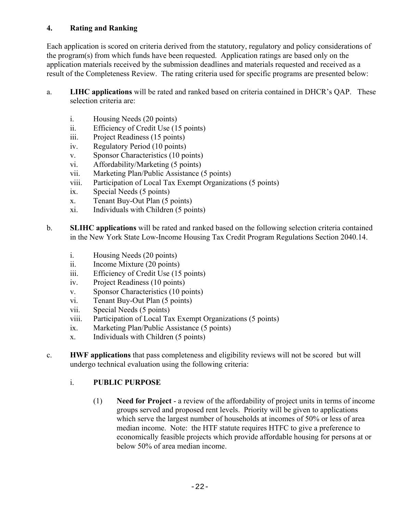### **4. Rating and Ranking**

Each application is scored on criteria derived from the statutory, regulatory and policy considerations of the program(s) from which funds have been requested. Application ratings are based only on the application materials received by the submission deadlines and materials requested and received as a result of the Completeness Review. The rating criteria used for specific programs are presented below:

- a. **LIHC applications** will be rated and ranked based on criteria contained in DHCR's QAP. These selection criteria are:
	- i. Housing Needs (20 points)
	- ii. Efficiency of Credit Use (15 points)
	- iii. Project Readiness (15 points)
	- iv. Regulatory Period (10 points)
	- v. Sponsor Characteristics (10 points)
	- vi. Affordability/Marketing (5 points)
	- vii. Marketing Plan/Public Assistance (5 points)
	- viii. Participation of Local Tax Exempt Organizations (5 points)
	- ix. Special Needs (5 points)
	- x. Tenant Buy-Out Plan (5 points)
	- xi. Individuals with Children (5 points)
- b. **SLIHC applications** will be rated and ranked based on the following selection criteria contained in the New York State Low-Income Housing Tax Credit Program Regulations Section 2040.14.
	- i. Housing Needs (20 points)
	- ii. Income Mixture (20 points)
	- iii. Efficiency of Credit Use (15 points)
	- iv. Project Readiness (10 points)
	- v. Sponsor Characteristics (10 points)
	- vi. Tenant Buy-Out Plan (5 points)
	- vii. Special Needs (5 points)
	- viii. Participation of Local Tax Exempt Organizations (5 points)
	- ix. Marketing Plan/Public Assistance (5 points)
	- x. Individuals with Children (5 points)
- c. **HWF applications** that pass completeness and eligibility reviews will not be scored but will undergo technical evaluation using the following criteria:

#### i. **PUBLIC PURPOSE**

(1) **Need for Project** - a review of the affordability of project units in terms of income groups served and proposed rent levels. Priority will be given to applications which serve the largest number of households at incomes of 50% or less of area median income. Note: the HTF statute requires HTFC to give a preference to economically feasible projects which provide affordable housing for persons at or below 50% of area median income.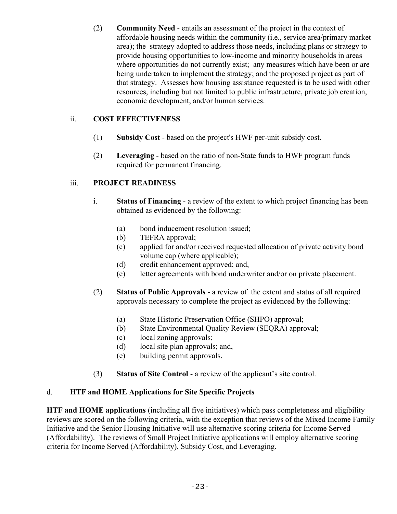(2) **Community Need** - entails an assessment of the project in the context of affordable housing needs within the community (i.e., service area/primary market area); the strategy adopted to address those needs, including plans or strategy to provide housing opportunities to low-income and minority households in areas where opportunities do not currently exist; any measures which have been or are being undertaken to implement the strategy; and the proposed project as part of that strategy. Assesses how housing assistance requested is to be used with other resources, including but not limited to public infrastructure, private job creation, economic development, and/or human services.

## ii. **COST EFFECTIVENESS**

- (1) **Subsidy Cost** based on the project's HWF per-unit subsidy cost.
- (2) **Leveraging** based on the ratio of non-State funds to HWF program funds required for permanent financing.

#### iii. **PROJECT READINESS**

- i. **Status of Financing** a review of the extent to which project financing has been obtained as evidenced by the following:
	- (a) bond inducement resolution issued;
	- (b) TEFRA approval;
	- (c) applied for and/or received requested allocation of private activity bond volume cap (where applicable);
	- (d) credit enhancement approved; and,
	- (e) letter agreements with bond underwriter and/or on private placement.
- (2) **Status of Public Approvals** a review of the extent and status of all required approvals necessary to complete the project as evidenced by the following:
	- (a) State Historic Preservation Office (SHPO) approval;
	- (b) State Environmental Quality Review (SEQRA) approval;
	- (c) local zoning approvals;
	- (d) local site plan approvals; and,
	- (e) building permit approvals.
- (3) **Status of Site Control** a review of the applicant's site control.

#### d. **HTF and HOME Applications for Site Specific Projects**

**HTF and HOME applications** (including all five initiatives) which pass completeness and eligibility reviews are scored on the following criteria, with the exception that reviews of the Mixed Income Family Initiative and the Senior Housing Initiative will use alternative scoring criteria for Income Served (Affordability). The reviews of Small Project Initiative applications will employ alternative scoring criteria for Income Served (Affordability), Subsidy Cost, and Leveraging.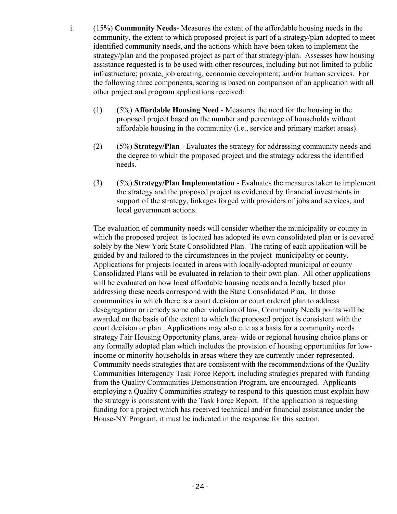- i. (15%) **Community Needs** Measures the extent of the affordable housing needs in the community, the extent to which proposed project is part of a strategy/plan adopted to meet identified community needs, and the actions which have been taken to implement the strategy/plan and the proposed project as part of that strategy/plan. Assesses how housing assistance requested is to be used with other resources, including but not limited to public infrastructure; private, job creating, economic development; and/or human services. For the following three components, scoring is based on comparison of an application with all other project and program applications received:
	- (1) (5%) **Affordable Housing Need** Measures the need for the housing in the proposed project based on the number and percentage of households without affordable housing in the community (i.e., service and primary market areas).
	- (2) (5%) **Strategy/Plan** Evaluates the strategy for addressing community needs and the degree to which the proposed project and the strategy address the identified needs.
	- (3) (5%) **Strategy/Plan Implementation** Evaluates the measures taken to implement the strategy and the proposed project as evidenced by financial investments in support of the strategy, linkages forged with providers of jobs and services, and local government actions.

The evaluation of community needs will consider whether the municipality or county in which the proposed project is located has adopted its own consolidated plan or is covered solely by the New York State Consolidated Plan. The rating of each application will be guided by and tailored to the circumstances in the project municipality or county. Applications for projects located in areas with locally-adopted municipal or county Consolidated Plans will be evaluated in relation to their own plan. All other applications will be evaluated on how local affordable housing needs and a locally based plan addressing these needs correspond with the State Consolidated Plan. In those communities in which there is a court decision or court ordered plan to address desegregation or remedy some other violation of law, Community Needs points will be awarded on the basis of the extent to which the proposed project is consistent with the court decision or plan. Applications may also cite as a basis for a community needs strategy Fair Housing Opportunity plans, area- wide or regional housing choice plans or any formally adopted plan which includes the provision of housing opportunities for lowincome or minority households in areas where they are currently under-represented. Community needs strategies that are consistent with the recommendations of the Quality Communities Interagency Task Force Report, including strategies prepared with funding from the Quality Communities Demonstration Program, are encouraged. Applicants employing a Quality Communities strategy to respond to this question must explain how the strategy is consistent with the Task Force Report. If the application is requesting funding for a project which has received technical and/or financial assistance under the House-NY Program, it must be indicated in the response for this section.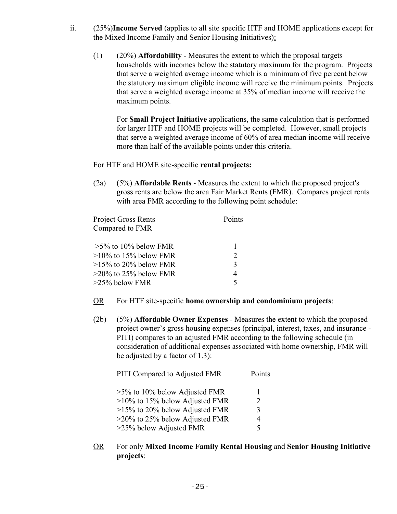- ii. (25%)**Income Served** (applies to all site specific HTF and HOME applications except for the Mixed Income Family and Senior Housing Initiatives):
	- (1) (20%) **Affordability** Measures the extent to which the proposal targets households with incomes below the statutory maximum for the program. Projects that serve a weighted average income which is a minimum of five percent below the statutory maximum eligible income will receive the minimum points. Projects that serve a weighted average income at 35% of median income will receive the maximum points.

For **Small Project Initiative** applications, the same calculation that is performed for larger HTF and HOME projects will be completed. However, small projects that serve a weighted average income of 60% of area median income will receive more than half of the available points under this criteria.

#### For HTF and HOME site-specific **rental projects:**

(2a) (5%) **Affordable Rents** - Measures the extent to which the proposed project's gross rents are below the area Fair Market Rents (FMR). Compares project rents with area FMR according to the following point schedule:

| <b>Project Gross Rents</b> | Points                      |
|----------------------------|-----------------------------|
| Compared to FMR            |                             |
|                            |                             |
| $>5\%$ to 10% below FMR    |                             |
| $>10\%$ to 15% below FMR   | $\mathcal{D}_{\mathcal{L}}$ |
| $>15\%$ to 20% below FMR   | 3                           |
| $>$ 20% to 25% below FMR   | 4                           |
| >25% below FMR             | 5                           |

- OR For HTF site-specific **home ownership and condominium projects**:
- (2b) (5%) **Affordable Owner Expenses** Measures the extent to which the proposed project owner's gross housing expenses (principal, interest, taxes, and insurance - PITI) compares to an adjusted FMR according to the following schedule (in consideration of additional expenses associated with home ownership, FMR will be adjusted by a factor of 1.3):

| PITI Compared to Adjusted FMR     | Points      |
|-----------------------------------|-------------|
| $>5\%$ to 10% below Adjusted FMR  | 1           |
| $>10\%$ to 15% below Adjusted FMR | 2           |
| $>15\%$ to 20% below Adjusted FMR | 3           |
| $>$ 20% to 25% below Adjusted FMR | 4           |
| $>25\%$ below Adjusted FMR        | $\varsigma$ |

OR For only **Mixed Income Family Rental Housing** and **Senior Housing Initiative projects**: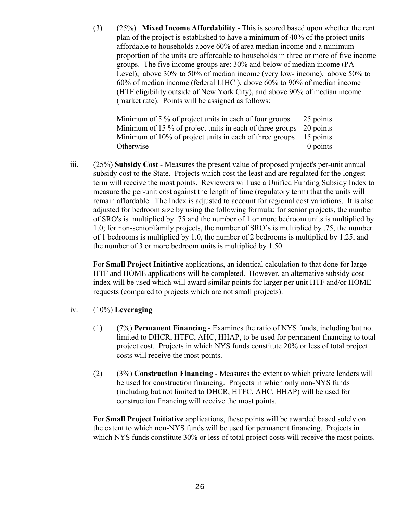(3) (25%) **Mixed Income Affordability** - This is scored based upon whether the rent plan of the project is established to have a minimum of 40% of the project units affordable to households above 60% of area median income and a minimum proportion of the units are affordable to households in three or more of five income groups. The five income groups are: 30% and below of median income (PA Level), above 30% to 50% of median income (very low- income), above 50% to 60% of median income (federal LIHC ), above 60% to 90% of median income (HTF eligibility outside of New York City), and above 90% of median income (market rate). Points will be assigned as follows:

Minimum of 5 % of project units in each of four groups 25 points Minimum of 15 % of project units in each of three groups 20 points Minimum of 10% of project units in each of three groups 15 points Otherwise 0 points

iii. (25%) **Subsidy Cost** - Measures the present value of proposed project's per-unit annual subsidy cost to the State. Projects which cost the least and are regulated for the longest term will receive the most points. Reviewers will use a Unified Funding Subsidy Index to measure the per-unit cost against the length of time (regulatory term) that the units will remain affordable. The Index is adjusted to account for regional cost variations. It is also adjusted for bedroom size by using the following formula: for senior projects, the number of SRO's is multiplied by .75 and the number of 1 or more bedroom units is multiplied by 1.0; for non-senior/family projects, the number of SRO's is multiplied by .75, the number of 1 bedrooms is multiplied by 1.0, the number of 2 bedrooms is multiplied by 1.25, and the number of 3 or more bedroom units is multiplied by 1.50.

For **Small Project Initiative** applications, an identical calculation to that done for large HTF and HOME applications will be completed. However, an alternative subsidy cost index will be used which will award similar points for larger per unit HTF and/or HOME requests (compared to projects which are not small projects).

#### iv. (10%) **Leveraging**

- (1) (7%) **Permanent Financing** Examines the ratio of NYS funds, including but not limited to DHCR, HTFC, AHC, HHAP, to be used for permanent financing to total project cost. Projects in which NYS funds constitute 20% or less of total project costs will receive the most points.
- (2) (3%) **Construction Financing** Measures the extent to which private lenders will be used for construction financing. Projects in which only non-NYS funds (including but not limited to DHCR, HTFC, AHC, HHAP) will be used for construction financing will receive the most points.

For **Small Project Initiative** applications, these points will be awarded based solely on the extent to which non-NYS funds will be used for permanent financing. Projects in which NYS funds constitute 30% or less of total project costs will receive the most points.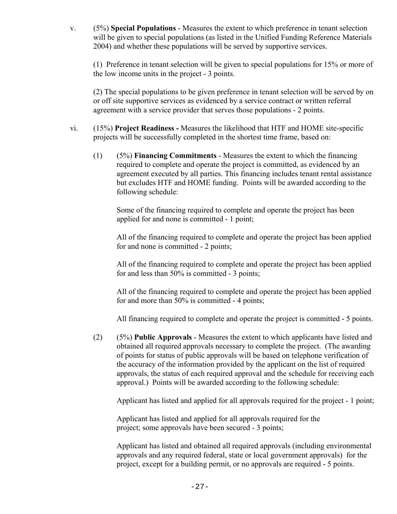v. (5%) **Special Populations** - Measures the extent to which preference in tenant selection will be given to special populations (as listed in the Unified Funding Reference Materials 2004) and whether these populations will be served by supportive services.

(1) Preference in tenant selection will be given to special populations for 15% or more of the low income units in the project - 3 points.

(2) The special populations to be given preference in tenant selection will be served by on or off site supportive services as evidenced by a service contract or written referral agreement with a service provider that serves those populations - 2 points.

- vi. (15%) **Project Readiness -** Measures the likelihood that HTF and HOME site-specific projects will be successfully completed in the shortest time frame, based on:
	- (1) (5%) **Financing Commitments** Measures the extent to which the financing required to complete and operate the project is committed, as evidenced by an agreement executed by all parties. This financing includes tenant rental assistance but excludes HTF and HOME funding. Points will be awarded according to the following schedule:

Some of the financing required to complete and operate the project has been applied for and none is committed - 1 point;

All of the financing required to complete and operate the project has been applied for and none is committed - 2 points;

All of the financing required to complete and operate the project has been applied for and less than 50% is committed - 3 points;

All of the financing required to complete and operate the project has been applied for and more than 50% is committed - 4 points;

All financing required to complete and operate the project is committed - 5 points.

(2) (5%) **Public Approvals** - Measures the extent to which applicants have listed and obtained all required approvals necessary to complete the project. (The awarding of points for status of public approvals will be based on telephone verification of the accuracy of the information provided by the applicant on the list of required approvals, the status of each required approval and the schedule for receiving each approval.) Points will be awarded according to the following schedule:

Applicant has listed and applied for all approvals required for the project - 1 point;

Applicant has listed and applied for all approvals required for the project; some approvals have been secured - 3 points;

Applicant has listed and obtained all required approvals (including environmental approvals and any required federal, state or local government approvals) for the project, except for a building permit, or no approvals are required - 5 points.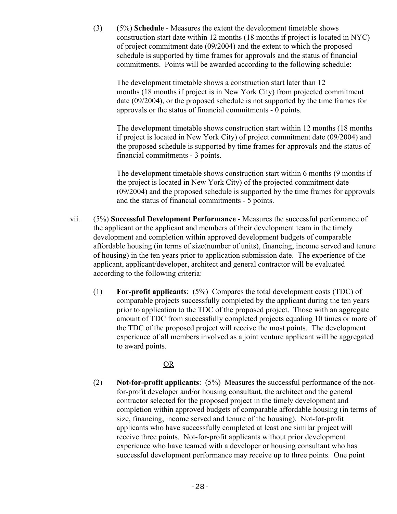(3) (5%) **Schedule** - Measures the extent the development timetable shows construction start date within 12 months (18 months if project is located in NYC) of project commitment date (09/2004) and the extent to which the proposed schedule is supported by time frames for approvals and the status of financial commitments. Points will be awarded according to the following schedule:

The development timetable shows a construction start later than 12 months (18 months if project is in New York City) from projected commitment date (09/2004), or the proposed schedule is not supported by the time frames for approvals or the status of financial commitments - 0 points.

The development timetable shows construction start within 12 months (18 months if project is located in New York City) of project commitment date (09/2004) and the proposed schedule is supported by time frames for approvals and the status of financial commitments - 3 points.

The development timetable shows construction start within 6 months (9 months if the project is located in New York City) of the projected commitment date (09/2004) and the proposed schedule is supported by the time frames for approvals and the status of financial commitments - 5 points.

- vii. (5%) **Successful Development Performance** Measures the successful performance of the applicant or the applicant and members of their development team in the timely development and completion within approved development budgets of comparable affordable housing (in terms of size(number of units), financing, income served and tenure of housing) in the ten years prior to application submission date. The experience of the applicant, applicant/developer, architect and general contractor will be evaluated according to the following criteria:
	- (1) **For-profit applicants**: (5%) Compares the total development costs (TDC) of comparable projects successfully completed by the applicant during the ten years prior to application to the TDC of the proposed project. Those with an aggregate amount of TDC from successfully completed projects equaling 10 times or more of the TDC of the proposed project will receive the most points. The development experience of all members involved as a joint venture applicant will be aggregated to award points.

#### <u>OR</u>

(2) **Not-for-profit applicants**: (5%) Measures the successful performance of the notfor-profit developer and/or housing consultant, the architect and the general contractor selected for the proposed project in the timely development and completion within approved budgets of comparable affordable housing (in terms of size, financing, income served and tenure of the housing). Not-for-profit applicants who have successfully completed at least one similar project will receive three points. Not-for-profit applicants without prior development experience who have teamed with a developer or housing consultant who has successful development performance may receive up to three points. One point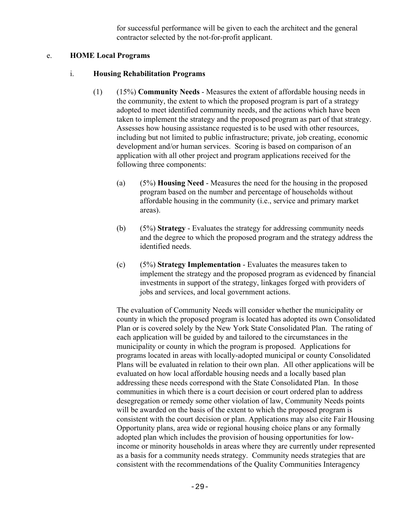for successful performance will be given to each the architect and the general contractor selected by the not-for-profit applicant.

#### e. **HOME Local Programs**

#### i. **Housing Rehabilitation Programs**

- (1) (15%) **Community Needs** Measures the extent of affordable housing needs in the community, the extent to which the proposed program is part of a strategy adopted to meet identified community needs, and the actions which have been taken to implement the strategy and the proposed program as part of that strategy. Assesses how housing assistance requested is to be used with other resources, including but not limited to public infrastructure; private, job creating, economic development and/or human services. Scoring is based on comparison of an application with all other project and program applications received for the following three components:
	- (a) (5%) **Housing Need** Measures the need for the housing in the proposed program based on the number and percentage of households without affordable housing in the community (i.e., service and primary market areas).
	- (b) (5%) **Strategy** Evaluates the strategy for addressing community needs and the degree to which the proposed program and the strategy address the identified needs.
	- (c) (5%) **Strategy Implementation** Evaluates the measures taken to implement the strategy and the proposed program as evidenced by financial investments in support of the strategy, linkages forged with providers of jobs and services, and local government actions.

The evaluation of Community Needs will consider whether the municipality or county in which the proposed program is located has adopted its own Consolidated Plan or is covered solely by the New York State Consolidated Plan. The rating of each application will be guided by and tailored to the circumstances in the municipality or county in which the program is proposed. Applications for programs located in areas with locally-adopted municipal or county Consolidated Plans will be evaluated in relation to their own plan. All other applications will be evaluated on how local affordable housing needs and a locally based plan addressing these needs correspond with the State Consolidated Plan. In those communities in which there is a court decision or court ordered plan to address desegregation or remedy some other violation of law, Community Needs points will be awarded on the basis of the extent to which the proposed program is consistent with the court decision or plan. Applications may also cite Fair Housing Opportunity plans, area wide or regional housing choice plans or any formally adopted plan which includes the provision of housing opportunities for lowincome or minority households in areas where they are currently under represented as a basis for a community needs strategy. Community needs strategies that are consistent with the recommendations of the Quality Communities Interagency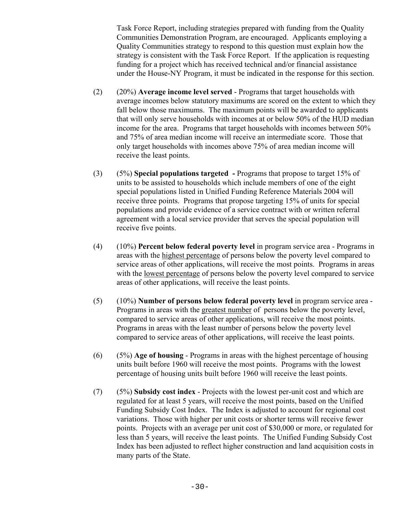Task Force Report, including strategies prepared with funding from the Quality Communities Demonstration Program, are encouraged. Applicants employing a Quality Communities strategy to respond to this question must explain how the strategy is consistent with the Task Force Report. If the application is requesting funding for a project which has received technical and/or financial assistance under the House-NY Program, it must be indicated in the response for this section.

- (2) (20%) **Average income level served** Programs that target households with average incomes below statutory maximums are scored on the extent to which they fall below those maximums. The maximum points will be awarded to applicants that will only serve households with incomes at or below 50% of the HUD median income for the area. Programs that target households with incomes between 50% and 75% of area median income will receive an intermediate score. Those that only target households with incomes above 75% of area median income will receive the least points.
- (3) (5%) **Special populations targeted** Programs that propose to target 15% of units to be assisted to households which include members of one of the eight special populations listed in Unified Funding Reference Materials 2004 will receive three points. Programs that propose targeting 15% of units for special populations and provide evidence of a service contract with or written referral agreement with a local service provider that serves the special population will receive five points.
- (4) (10%) **Percent below federal poverty level** in program service area Programs in areas with the highest percentage of persons below the poverty level compared to service areas of other applications, will receive the most points. Programs in areas with the lowest percentage of persons below the poverty level compared to service areas of other applications, will receive the least points.
- (5) (10%) **Number of persons below federal poverty level** in program service area Programs in areas with the greatest number of persons below the poverty level, compared to service areas of other applications, will receive the most points. Programs in areas with the least number of persons below the poverty level compared to service areas of other applications, will receive the least points.
- (6) (5%) **Age of housing** Programs in areas with the highest percentage of housing units built before 1960 will receive the most points. Programs with the lowest percentage of housing units built before 1960 will receive the least points.
- (7) (5%) **Subsidy cost index** Projects with the lowest per-unit cost and which are regulated for at least 5 years, will receive the most points, based on the Unified Funding Subsidy Cost Index. The Index is adjusted to account for regional cost variations. Those with higher per unit costs or shorter terms will receive fewer points. Projects with an average per unit cost of \$30,000 or more, or regulated for less than 5 years, will receive the least points. The Unified Funding Subsidy Cost Index has been adjusted to reflect higher construction and land acquisition costs in many parts of the State.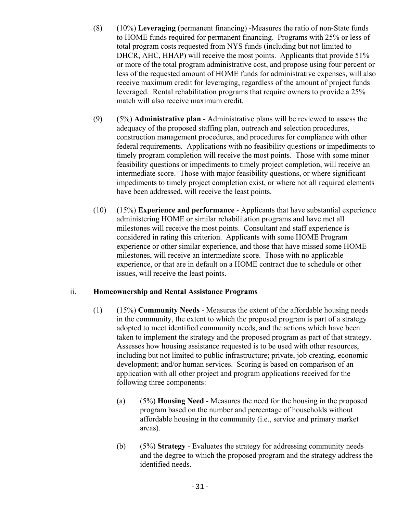- (8) (10%) **Leveraging** (permanent financing) -Measures the ratio of non-State funds to HOME funds required for permanent financing. Programs with 25% or less of total program costs requested from NYS funds (including but not limited to DHCR, AHC, HHAP) will receive the most points. Applicants that provide 51% or more of the total program administrative cost, and propose using four percent or less of the requested amount of HOME funds for administrative expenses, will also receive maximum credit for leveraging, regardless of the amount of project funds leveraged. Rental rehabilitation programs that require owners to provide a 25% match will also receive maximum credit.
- (9) (5%) **Administrative plan** Administrative plans will be reviewed to assess the adequacy of the proposed staffing plan, outreach and selection procedures, construction management procedures, and procedures for compliance with other federal requirements. Applications with no feasibility questions or impediments to timely program completion will receive the most points. Those with some minor feasibility questions or impediments to timely project completion, will receive an intermediate score. Those with major feasibility questions, or where significant impediments to timely project completion exist, or where not all required elements have been addressed, will receive the least points.
- (10) (15%) **Experience and performance** Applicants that have substantial experience administering HOME or similar rehabilitation programs and have met all milestones will receive the most points. Consultant and staff experience is considered in rating this criterion. Applicants with some HOME Program experience or other similar experience, and those that have missed some HOME milestones, will receive an intermediate score. Those with no applicable experience, or that are in default on a HOME contract due to schedule or other issues, will receive the least points.

#### ii. **Homeownership and Rental Assistance Programs**

- (1) (15%) **Community Needs** Measures the extent of the affordable housing needs in the community, the extent to which the proposed program is part of a strategy adopted to meet identified community needs, and the actions which have been taken to implement the strategy and the proposed program as part of that strategy. Assesses how housing assistance requested is to be used with other resources, including but not limited to public infrastructure; private, job creating, economic development; and/or human services. Scoring is based on comparison of an application with all other project and program applications received for the following three components:
	- (a) (5%) **Housing Need** Measures the need for the housing in the proposed program based on the number and percentage of households without affordable housing in the community (i.e., service and primary market areas).
	- (b) (5%) **Strategy** Evaluates the strategy for addressing community needs and the degree to which the proposed program and the strategy address the identified needs.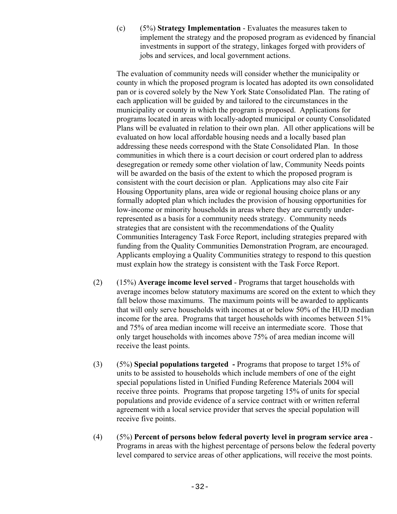(c) (5%) **Strategy Implementation** - Evaluates the measures taken to implement the strategy and the proposed program as evidenced by financial investments in support of the strategy, linkages forged with providers of jobs and services, and local government actions.

The evaluation of community needs will consider whether the municipality or county in which the proposed program is located has adopted its own consolidated pan or is covered solely by the New York State Consolidated Plan. The rating of each application will be guided by and tailored to the circumstances in the municipality or county in which the program is proposed. Applications for programs located in areas with locally-adopted municipal or county Consolidated Plans will be evaluated in relation to their own plan. All other applications will be evaluated on how local affordable housing needs and a locally based plan addressing these needs correspond with the State Consolidated Plan. In those communities in which there is a court decision or court ordered plan to address desegregation or remedy some other violation of law, Community Needs points will be awarded on the basis of the extent to which the proposed program is consistent with the court decision or plan. Applications may also cite Fair Housing Opportunity plans, area wide or regional housing choice plans or any formally adopted plan which includes the provision of housing opportunities for low-income or minority households in areas where they are currently underrepresented as a basis for a community needs strategy. Community needs strategies that are consistent with the recommendations of the Quality Communities Interagency Task Force Report, including strategies prepared with funding from the Quality Communities Demonstration Program, are encouraged. Applicants employing a Quality Communities strategy to respond to this question must explain how the strategy is consistent with the Task Force Report.

- (2) (15%) **Average income level served** Programs that target households with average incomes below statutory maximums are scored on the extent to which they fall below those maximums. The maximum points will be awarded to applicants that will only serve households with incomes at or below 50% of the HUD median income for the area. Programs that target households with incomes between 51% and 75% of area median income will receive an intermediate score. Those that only target households with incomes above 75% of area median income will receive the least points.
- (3) (5%) **Special populations targeted** Programs that propose to target 15% of units to be assisted to households which include members of one of the eight special populations listed in Unified Funding Reference Materials 2004 will receive three points. Programs that propose targeting 15% of units for special populations and provide evidence of a service contract with or written referral agreement with a local service provider that serves the special population will receive five points.
- (4) (5%) **Percent of persons below federal poverty level in program service area** Programs in areas with the highest percentage of persons below the federal poverty level compared to service areas of other applications, will receive the most points.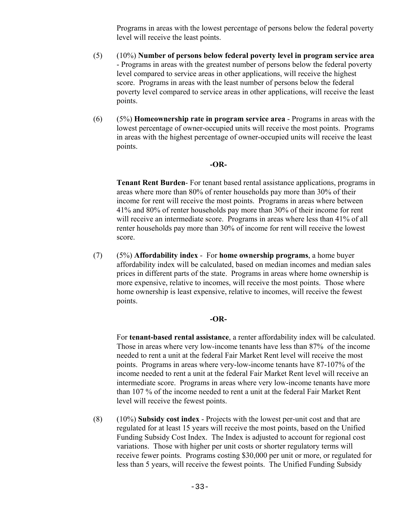Programs in areas with the lowest percentage of persons below the federal poverty level will receive the least points.

- (5) (10%) **Number of persons below federal poverty level in program service area** - Programs in areas with the greatest number of persons below the federal poverty level compared to service areas in other applications, will receive the highest score. Programs in areas with the least number of persons below the federal poverty level compared to service areas in other applications, will receive the least points.
- (6) (5%) **Homeownership rate in program service area** Programs in areas with the lowest percentage of owner-occupied units will receive the most points. Programs in areas with the highest percentage of owner-occupied units will receive the least points.

#### **-OR-**

**Tenant Rent Burden**- For tenant based rental assistance applications, programs in areas where more than 80% of renter households pay more than 30% of their income for rent will receive the most points. Programs in areas where between 41% and 80% of renter households pay more than 30% of their income for rent will receive an intermediate score. Programs in areas where less than 41% of all renter households pay more than 30% of income for rent will receive the lowest score.

(7) (5%) **Affordability index** - For **home ownership programs**, a home buyer affordability index will be calculated, based on median incomes and median sales prices in different parts of the state. Programs in areas where home ownership is more expensive, relative to incomes, will receive the most points. Those where home ownership is least expensive, relative to incomes, will receive the fewest points.

#### **-OR-**

For **tenant-based rental assistance**, a renter affordability index will be calculated. Those in areas where very low-income tenants have less than 87% of the income needed to rent a unit at the federal Fair Market Rent level will receive the most points. Programs in areas where very-low-income tenants have 87-107% of the income needed to rent a unit at the federal Fair Market Rent level will receive an intermediate score. Programs in areas where very low-income tenants have more than 107 % of the income needed to rent a unit at the federal Fair Market Rent level will receive the fewest points.

(8) (10%) **Subsidy cost index** - Projects with the lowest per-unit cost and that are regulated for at least 15 years will receive the most points, based on the Unified Funding Subsidy Cost Index. The Index is adjusted to account for regional cost variations. Those with higher per unit costs or shorter regulatory terms will receive fewer points. Programs costing \$30,000 per unit or more, or regulated for less than 5 years, will receive the fewest points. The Unified Funding Subsidy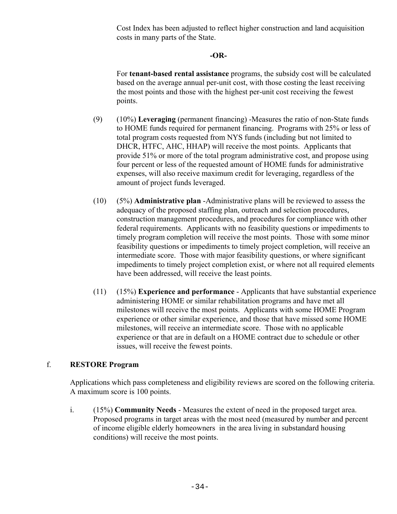Cost Index has been adjusted to reflect higher construction and land acquisition costs in many parts of the State.

#### **-OR-**

For **tenant-based rental assistance** programs, the subsidy cost will be calculated based on the average annual per-unit cost, with those costing the least receiving the most points and those with the highest per-unit cost receiving the fewest points.

- (9) (10%) **Leveraging** (permanent financing) -Measures the ratio of non-State funds to HOME funds required for permanent financing. Programs with 25% or less of total program costs requested from NYS funds (including but not limited to DHCR, HTFC, AHC, HHAP) will receive the most points. Applicants that provide 51% or more of the total program administrative cost, and propose using four percent or less of the requested amount of HOME funds for administrative expenses, will also receive maximum credit for leveraging, regardless of the amount of project funds leveraged.
- (10) (5%) **Administrative plan** -Administrative plans will be reviewed to assess the adequacy of the proposed staffing plan, outreach and selection procedures, construction management procedures, and procedures for compliance with other federal requirements. Applicants with no feasibility questions or impediments to timely program completion will receive the most points. Those with some minor feasibility questions or impediments to timely project completion, will receive an intermediate score. Those with major feasibility questions, or where significant impediments to timely project completion exist, or where not all required elements have been addressed, will receive the least points.
- (11) (15%) **Experience and performance** Applicants that have substantial experience administering HOME or similar rehabilitation programs and have met all milestones will receive the most points. Applicants with some HOME Program experience or other similar experience, and those that have missed some HOME milestones, will receive an intermediate score. Those with no applicable experience or that are in default on a HOME contract due to schedule or other issues, will receive the fewest points.

#### f. **RESTORE Program**

Applications which pass completeness and eligibility reviews are scored on the following criteria. A maximum score is 100 points.

i. (15%) **Community Needs** - Measures the extent of need in the proposed target area. Proposed programs in target areas with the most need (measured by number and percent of income eligible elderly homeowners in the area living in substandard housing conditions) will receive the most points.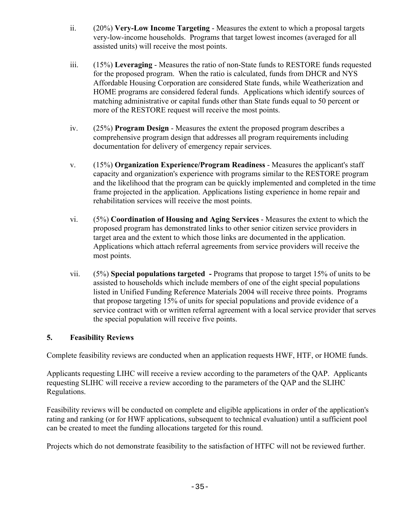- ii. (20%) **Very-Low Income Targeting** Measures the extent to which a proposal targets very-low-income households. Programs that target lowest incomes (averaged for all assisted units) will receive the most points.
- iii. (15%) **Leveraging** Measures the ratio of non-State funds to RESTORE funds requested for the proposed program. When the ratio is calculated, funds from DHCR and NYS Affordable Housing Corporation are considered State funds, while Weatherization and HOME programs are considered federal funds. Applications which identify sources of matching administrative or capital funds other than State funds equal to 50 percent or more of the RESTORE request will receive the most points.
- iv. (25%) **Program Design** Measures the extent the proposed program describes a comprehensive program design that addresses all program requirements including documentation for delivery of emergency repair services.
- v. (15%) **Organization Experience/Program Readiness** Measures the applicant's staff capacity and organization's experience with programs similar to the RESTORE program and the likelihood that the program can be quickly implemented and completed in the time frame projected in the application. Applications listing experience in home repair and rehabilitation services will receive the most points.
- vi. (5%) **Coordination of Housing and Aging Services** Measures the extent to which the proposed program has demonstrated links to other senior citizen service providers in target area and the extent to which those links are documented in the application. Applications which attach referral agreements from service providers will receive the most points.
- vii. (5%) **Special populations targeted** Programs that propose to target 15% of units to be assisted to households which include members of one of the eight special populations listed in Unified Funding Reference Materials 2004 will receive three points. Programs that propose targeting 15% of units for special populations and provide evidence of a service contract with or written referral agreement with a local service provider that serves the special population will receive five points.

#### **5. Feasibility Reviews**

Complete feasibility reviews are conducted when an application requests HWF, HTF, or HOME funds.

Applicants requesting LIHC will receive a review according to the parameters of the QAP. Applicants requesting SLIHC will receive a review according to the parameters of the QAP and the SLIHC Regulations.

 Feasibility reviews will be conducted on complete and eligible applications in order of the application's rating and ranking (or for HWF applications, subsequent to technical evaluation) until a sufficient pool can be created to meet the funding allocations targeted for this round.

Projects which do not demonstrate feasibility to the satisfaction of HTFC will not be reviewed further.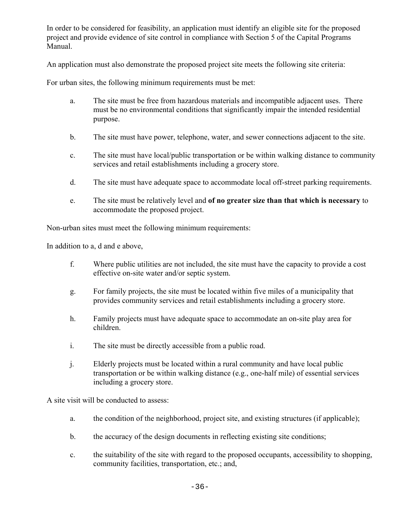In order to be considered for feasibility, an application must identify an eligible site for the proposed project and provide evidence of site control in compliance with Section 5 of the Capital Programs Manual.

An application must also demonstrate the proposed project site meets the following site criteria:

For urban sites, the following minimum requirements must be met:

- a. The site must be free from hazardous materials and incompatible adjacent uses. There must be no environmental conditions that significantly impair the intended residential purpose.
- b. The site must have power, telephone, water, and sewer connections adjacent to the site.
- c. The site must have local/public transportation or be within walking distance to community services and retail establishments including a grocery store.
- d. The site must have adequate space to accommodate local off-street parking requirements.
- e. The site must be relatively level and **of no greater size than that which is necessary** to accommodate the proposed project.

Non-urban sites must meet the following minimum requirements:

In addition to a, d and e above,

- f. Where public utilities are not included, the site must have the capacity to provide a cost effective on-site water and/or septic system.
- g. For family projects, the site must be located within five miles of a municipality that provides community services and retail establishments including a grocery store.
- h. Family projects must have adequate space to accommodate an on-site play area for children.
- i. The site must be directly accessible from a public road.
- j. Elderly projects must be located within a rural community and have local public transportation or be within walking distance (e.g., one-half mile) of essential services including a grocery store.

A site visit will be conducted to assess:

- a. the condition of the neighborhood, project site, and existing structures (if applicable);
- b. the accuracy of the design documents in reflecting existing site conditions;
- c. the suitability of the site with regard to the proposed occupants, accessibility to shopping, community facilities, transportation, etc.; and,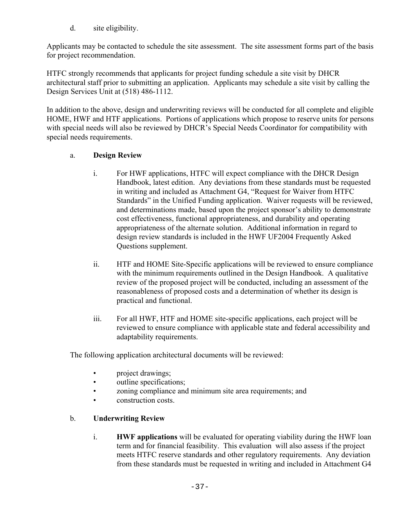d. site eligibility.

Applicants may be contacted to schedule the site assessment. The site assessment forms part of the basis for project recommendation.

HTFC strongly recommends that applicants for project funding schedule a site visit by DHCR architectural staff prior to submitting an application. Applicants may schedule a site visit by calling the Design Services Unit at (518) 486-1112.

In addition to the above, design and underwriting reviews will be conducted for all complete and eligible HOME, HWF and HTF applications. Portions of applications which propose to reserve units for persons with special needs will also be reviewed by DHCR's Special Needs Coordinator for compatibility with special needs requirements.

#### a. **Design Review**

- i. For HWF applications, HTFC will expect compliance with the DHCR Design Handbook, latest edition. Any deviations from these standards must be requested in writing and included as Attachment G4, "Request for Waiver from HTFC Standards" in the Unified Funding application. Waiver requests will be reviewed, and determinations made, based upon the project sponsor's ability to demonstrate cost effectiveness, functional appropriateness, and durability and operating appropriateness of the alternate solution. Additional information in regard to design review standards is included in the HWF UF2004 Frequently Asked Questions supplement.
- ii. HTF and HOME Site-Specific applications will be reviewed to ensure compliance with the minimum requirements outlined in the Design Handbook. A qualitative review of the proposed project will be conducted, including an assessment of the reasonableness of proposed costs and a determination of whether its design is practical and functional.
- iii. For all HWF, HTF and HOME site-specific applications, each project will be reviewed to ensure compliance with applicable state and federal accessibility and adaptability requirements.

The following application architectural documents will be reviewed:

- project drawings;
- outline specifications;
- zoning compliance and minimum site area requirements; and
- construction costs.

#### b. **Underwriting Review**

i. **HWF applications** will be evaluated for operating viability during the HWF loan term and for financial feasibility. This evaluation will also assess if the project meets HTFC reserve standards and other regulatory requirements. Any deviation from these standards must be requested in writing and included in Attachment G4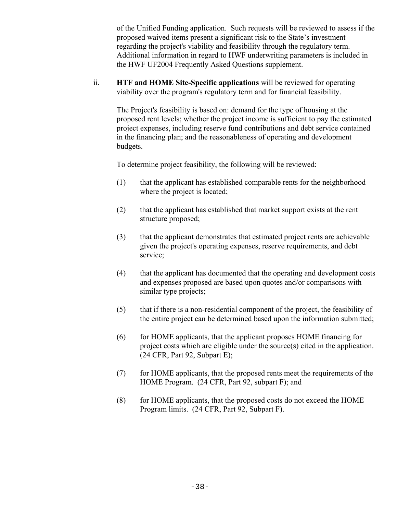of the Unified Funding application. Such requests will be reviewed to assess if the proposed waived items present a significant risk to the State's investment regarding the project's viability and feasibility through the regulatory term. Additional information in regard to HWF underwriting parameters is included in the HWF UF2004 Frequently Asked Questions supplement.

ii. **HTF and HOME Site-Specific applications** will be reviewed for operating viability over the program's regulatory term and for financial feasibility.

The Project's feasibility is based on: demand for the type of housing at the proposed rent levels; whether the project income is sufficient to pay the estimated project expenses, including reserve fund contributions and debt service contained in the financing plan; and the reasonableness of operating and development budgets.

To determine project feasibility, the following will be reviewed:

- (1) that the applicant has established comparable rents for the neighborhood where the project is located;
- (2) that the applicant has established that market support exists at the rent structure proposed;
- (3) that the applicant demonstrates that estimated project rents are achievable given the project's operating expenses, reserve requirements, and debt service;
- (4) that the applicant has documented that the operating and development costs and expenses proposed are based upon quotes and/or comparisons with similar type projects;
- (5) that if there is a non-residential component of the project, the feasibility of the entire project can be determined based upon the information submitted;
- (6) for HOME applicants, that the applicant proposes HOME financing for project costs which are eligible under the source(s) cited in the application. (24 CFR, Part 92, Subpart E);
- (7) for HOME applicants, that the proposed rents meet the requirements of the HOME Program. (24 CFR, Part 92, subpart F); and
- (8) for HOME applicants, that the proposed costs do not exceed the HOME Program limits. (24 CFR, Part 92, Subpart F).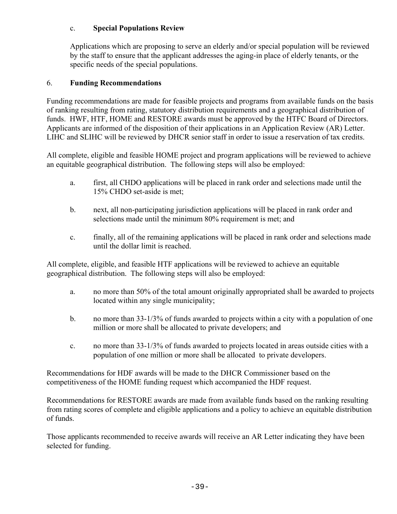#### c. **Special Populations Review**

Applications which are proposing to serve an elderly and/or special population will be reviewed by the staff to ensure that the applicant addresses the aging-in place of elderly tenants, or the specific needs of the special populations.

#### 6. **Funding Recommendations**

Funding recommendations are made for feasible projects and programs from available funds on the basis of ranking resulting from rating, statutory distribution requirements and a geographical distribution of funds. HWF, HTF, HOME and RESTORE awards must be approved by the HTFC Board of Directors. Applicants are informed of the disposition of their applications in an Application Review (AR) Letter. LIHC and SLIHC will be reviewed by DHCR senior staff in order to issue a reservation of tax credits.

All complete, eligible and feasible HOME project and program applications will be reviewed to achieve an equitable geographical distribution. The following steps will also be employed:

- a. first, all CHDO applications will be placed in rank order and selections made until the 15% CHDO set-aside is met;
- b. next, all non-participating jurisdiction applications will be placed in rank order and selections made until the minimum 80% requirement is met; and
- c. finally, all of the remaining applications will be placed in rank order and selections made until the dollar limit is reached.

All complete, eligible, and feasible HTF applications will be reviewed to achieve an equitable geographical distribution. The following steps will also be employed:

- a. no more than 50% of the total amount originally appropriated shall be awarded to projects located within any single municipality;
- b. no more than 33-1/3% of funds awarded to projects within a city with a population of one million or more shall be allocated to private developers; and
- c. no more than 33-1/3% of funds awarded to projects located in areas outside cities with a population of one million or more shall be allocated to private developers.

Recommendations for HDF awards will be made to the DHCR Commissioner based on the competitiveness of the HOME funding request which accompanied the HDF request.

Recommendations for RESTORE awards are made from available funds based on the ranking resulting from rating scores of complete and eligible applications and a policy to achieve an equitable distribution of funds.

Those applicants recommended to receive awards will receive an AR Letter indicating they have been selected for funding.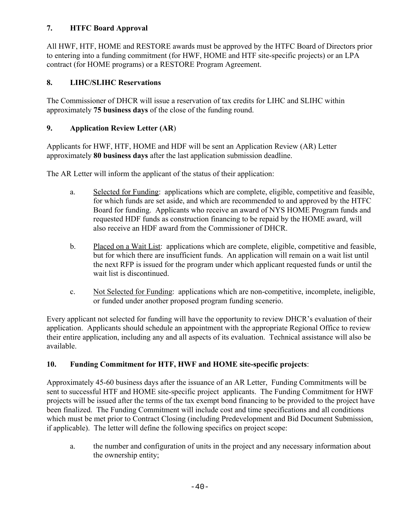# **7. HTFC Board Approval**

All HWF, HTF, HOME and RESTORE awards must be approved by the HTFC Board of Directors prior to entering into a funding commitment (for HWF, HOME and HTF site-specific projects) or an LPA contract (for HOME programs) or a RESTORE Program Agreement.

# **8. LIHC/SLIHC Reservations**

The Commissioner of DHCR will issue a reservation of tax credits for LIHC and SLIHC within approximately **75 business days** of the close of the funding round.

## **9. Application Review Letter (AR**)

Applicants for HWF, HTF, HOME and HDF will be sent an Application Review (AR) Letter approximately **80 business days** after the last application submission deadline.

The AR Letter will inform the applicant of the status of their application:

- a. Selected for Funding: applications which are complete, eligible, competitive and feasible, for which funds are set aside, and which are recommended to and approved by the HTFC Board for funding. Applicants who receive an award of NYS HOME Program funds and requested HDF funds as construction financing to be repaid by the HOME award, will also receive an HDF award from the Commissioner of DHCR.
- b. Placed on a Wait List: applications which are complete, eligible, competitive and feasible, but for which there are insufficient funds. An application will remain on a wait list until the next RFP is issued for the program under which applicant requested funds or until the wait list is discontinued.
- c. Not Selected for Funding: applications which are non-competitive, incomplete, ineligible, or funded under another proposed program funding scenerio.

Every applicant not selected for funding will have the opportunity to review DHCR's evaluation of their application. Applicants should schedule an appointment with the appropriate Regional Office to review their entire application, including any and all aspects of its evaluation. Technical assistance will also be available.

#### **10. Funding Commitment for HTF, HWF and HOME site-specific projects**:

Approximately 45-60 business days after the issuance of an AR Letter, Funding Commitments will be sent to successful HTF and HOME site-specific project applicants. The Funding Commitment for HWF projects will be issued after the terms of the tax exempt bond financing to be provided to the project have been finalized. The Funding Commitment will include cost and time specifications and all conditions which must be met prior to Contract Closing (including Predevelopment and Bid Document Submission, if applicable). The letter will define the following specifics on project scope:

a. the number and configuration of units in the project and any necessary information about the ownership entity;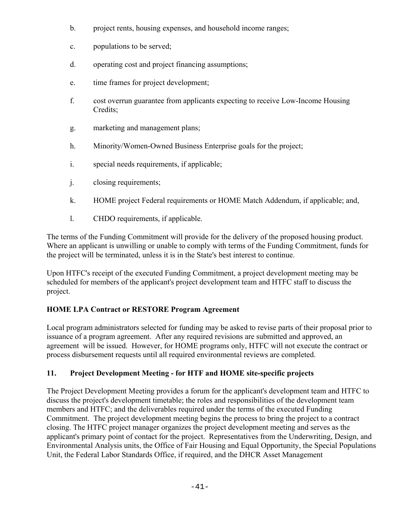- b. project rents, housing expenses, and household income ranges;
- c. populations to be served;
- d. operating cost and project financing assumptions;
- e. time frames for project development;
- f. cost overrun guarantee from applicants expecting to receive Low-Income Housing Credits;
- g. marketing and management plans;
- h. Minority/Women-Owned Business Enterprise goals for the project;
- i. special needs requirements, if applicable;
- j. closing requirements;
- k. HOME project Federal requirements or HOME Match Addendum, if applicable; and,
- l. CHDO requirements, if applicable.

The terms of the Funding Commitment will provide for the delivery of the proposed housing product. Where an applicant is unwilling or unable to comply with terms of the Funding Commitment, funds for the project will be terminated, unless it is in the State's best interest to continue.

Upon HTFC's receipt of the executed Funding Commitment, a project development meeting may be scheduled for members of the applicant's project development team and HTFC staff to discuss the project.

# **HOME LPA Contract or RESTORE Program Agreement**

Local program administrators selected for funding may be asked to revise parts of their proposal prior to issuance of a program agreement. After any required revisions are submitted and approved, an agreement will be issued. However, for HOME programs only, HTFC will not execute the contract or process disbursement requests until all required environmental reviews are completed.

# **11. Project Development Meeting - for HTF and HOME site-specific projects**

The Project Development Meeting provides a forum for the applicant's development team and HTFC to discuss the project's development timetable; the roles and responsibilities of the development team members and HTFC; and the deliverables required under the terms of the executed Funding Commitment. The project development meeting begins the process to bring the project to a contract closing. The HTFC project manager organizes the project development meeting and serves as the applicant's primary point of contact for the project. Representatives from the Underwriting, Design, and Environmental Analysis units, the Office of Fair Housing and Equal Opportunity, the Special Populations Unit, the Federal Labor Standards Office, if required, and the DHCR Asset Management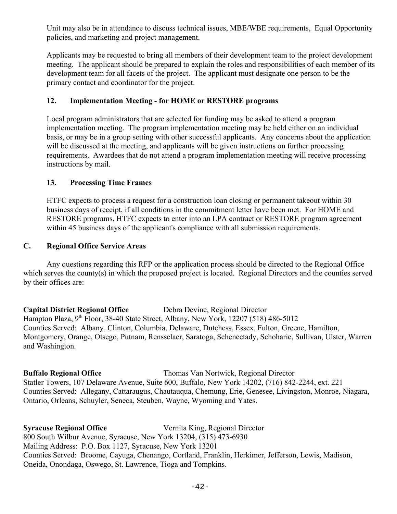Unit may also be in attendance to discuss technical issues, MBE/WBE requirements, Equal Opportunity policies, and marketing and project management.

Applicants may be requested to bring all members of their development team to the project development meeting. The applicant should be prepared to explain the roles and responsibilities of each member of its development team for all facets of the project. The applicant must designate one person to be the primary contact and coordinator for the project.

#### **12. Implementation Meeting - for HOME or RESTORE programs**

Local program administrators that are selected for funding may be asked to attend a program implementation meeting. The program implementation meeting may be held either on an individual basis, or may be in a group setting with other successful applicants. Any concerns about the application will be discussed at the meeting, and applicants will be given instructions on further processing requirements. Awardees that do not attend a program implementation meeting will receive processing instructions by mail.

#### **13. Processing Time Frames**

HTFC expects to process a request for a construction loan closing or permanent takeout within 30 business days of receipt, if all conditions in the commitment letter have been met. For HOME and RESTORE programs, HTFC expects to enter into an LPA contract or RESTORE program agreement within 45 business days of the applicant's compliance with all submission requirements.

#### **C. Regional Office Service Areas**

Any questions regarding this RFP or the application process should be directed to the Regional Office which serves the county(s) in which the proposed project is located. Regional Directors and the counties served by their offices are:

**Capital District Regional Office** Debra Devine, Regional Director Hampton Plaza, 9<sup>th</sup> Floor, 38-40 State Street, Albany, New York, 12207 (518) 486-5012 Counties Served: Albany, Clinton, Columbia, Delaware, Dutchess, Essex, Fulton, Greene, Hamilton, Montgomery, Orange, Otsego, Putnam, Rensselaer, Saratoga, Schenectady, Schoharie, Sullivan, Ulster, Warren and Washington.

#### **Buffalo Regional Office** Thomas Van Nortwick, Regional Director Statler Towers, 107 Delaware Avenue, Suite 600, Buffalo, New York 14202, (716) 842-2244, ext. 221 Counties Served: Allegany, Cattaraugus, Chautauqua, Chemung, Erie, Genesee, Livingston, Monroe, Niagara, Ontario, Orleans, Schuyler, Seneca, Steuben, Wayne, Wyoming and Yates.

**Syracuse Regional Office** Vernita King, Regional Director 800 South Wilbur Avenue, Syracuse, New York 13204, (315) 473-6930 Mailing Address: P.O. Box 1127, Syracuse, New York 13201 Counties Served: Broome, Cayuga, Chenango, Cortland, Franklin, Herkimer, Jefferson, Lewis, Madison, Oneida, Onondaga, Oswego, St. Lawrence, Tioga and Tompkins.